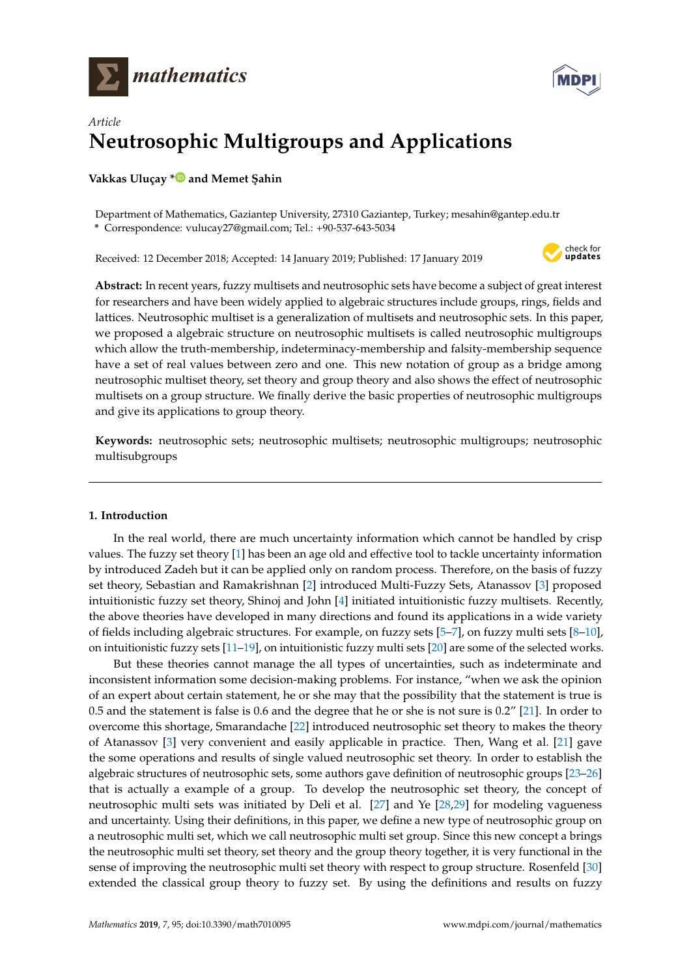



# *Article* **Neutrosophic Multigroups and Applications**

**Vakkas Uluçay [\\*](https://orcid.org/0000-0001-5580-7037)** and Memet Şahin

Department of Mathematics, Gaziantep University, 27310 Gaziantep, Turkey; mesahin@gantep.edu.tr **\*** Correspondence: vulucay27@gmail.com; Tel.: +90-537-643-5034

Received: 12 December 2018; Accepted: 14 January 2019; Published: 17 January 2019



**Abstract:** In recent years, fuzzy multisets and neutrosophic sets have become a subject of great interest for researchers and have been widely applied to algebraic structures include groups, rings, fields and lattices. Neutrosophic multiset is a generalization of multisets and neutrosophic sets. In this paper, we proposed a algebraic structure on neutrosophic multisets is called neutrosophic multigroups which allow the truth-membership, indeterminacy-membership and falsity-membership sequence have a set of real values between zero and one. This new notation of group as a bridge among neutrosophic multiset theory, set theory and group theory and also shows the effect of neutrosophic multisets on a group structure. We finally derive the basic properties of neutrosophic multigroups and give its applications to group theory.

**Keywords:** neutrosophic sets; neutrosophic multisets; neutrosophic multigroups; neutrosophic multisubgroups

# **1. Introduction**

In the real world, there are much uncertainty information which cannot be handled by crisp values. The fuzzy set theory [\[1\]](#page-15-0) has been an age old and effective tool to tackle uncertainty information by introduced Zadeh but it can be applied only on random process. Therefore, on the basis of fuzzy set theory, Sebastian and Ramakrishnan [\[2\]](#page-15-1) introduced Multi-Fuzzy Sets, Atanassov [\[3\]](#page-15-2) proposed intuitionistic fuzzy set theory, Shinoj and John [\[4\]](#page-15-3) initiated intuitionistic fuzzy multisets. Recently, the above theories have developed in many directions and found its applications in a wide variety of fields including algebraic structures. For example, on fuzzy sets [\[5](#page-15-4)[–7\]](#page-15-5), on fuzzy multi sets [\[8](#page-15-6)[–10\]](#page-15-7), on intuitionistic fuzzy sets  $[11-19]$  $[11-19]$ , on intuitionistic fuzzy multi sets  $[20]$  are some of the selected works.

But these theories cannot manage the all types of uncertainties, such as indeterminate and inconsistent information some decision-making problems. For instance, "when we ask the opinion of an expert about certain statement, he or she may that the possibility that the statement is true is 0.5 and the statement is false is 0.6 and the degree that he or she is not sure is 0.2" [\[21\]](#page-16-2). In order to overcome this shortage, Smarandache [\[22\]](#page-16-3) introduced neutrosophic set theory to makes the theory of Atanassov [\[3\]](#page-15-2) very convenient and easily applicable in practice. Then, Wang et al. [\[21\]](#page-16-2) gave the some operations and results of single valued neutrosophic set theory. In order to establish the algebraic structures of neutrosophic sets, some authors gave definition of neutrosophic groups [\[23](#page-16-4)[–26\]](#page-16-5) that is actually a example of a group. To develop the neutrosophic set theory, the concept of neutrosophic multi sets was initiated by Deli et al. [\[27\]](#page-16-6) and Ye [\[28](#page-16-7)[,29\]](#page-16-8) for modeling vagueness and uncertainty. Using their definitions, in this paper, we define a new type of neutrosophic group on a neutrosophic multi set, which we call neutrosophic multi set group. Since this new concept a brings the neutrosophic multi set theory, set theory and the group theory together, it is very functional in the sense of improving the neutrosophic multi set theory with respect to group structure. Rosenfeld [\[30\]](#page-16-9) extended the classical group theory to fuzzy set. By using the definitions and results on fuzzy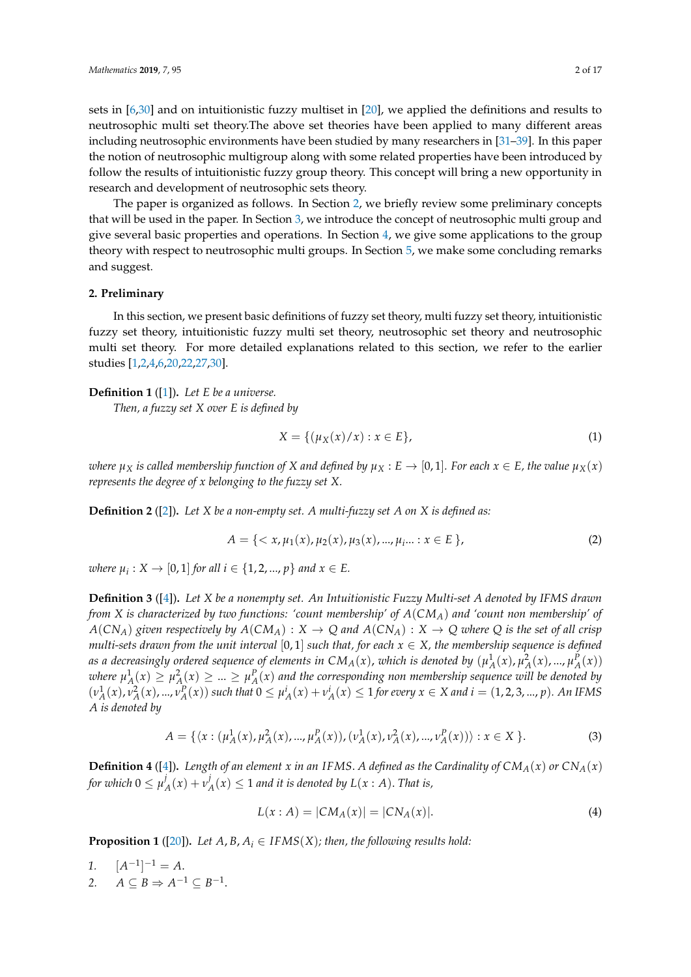sets in [\[6](#page-15-9)[,30\]](#page-16-9) and on intuitionistic fuzzy multiset in [\[20\]](#page-16-1), we applied the definitions and results to neutrosophic multi set theory.The above set theories have been applied to many different areas including neutrosophic environments have been studied by many researchers in [\[31](#page-16-10)[–39\]](#page-16-11). In this paper the notion of neutrosophic multigroup along with some related properties have been introduced by follow the results of intuitionistic fuzzy group theory. This concept will bring a new opportunity in research and development of neutrosophic sets theory.

The paper is organized as follows. In Section [2,](#page-1-0) we briefly review some preliminary concepts that will be used in the paper. In Section [3,](#page-3-0) we introduce the concept of neutrosophic multi group and give several basic properties and operations. In Section  $4$ , we give some applications to the group theory with respect to neutrosophic multi groups. In Section [5,](#page-15-10) we make some concluding remarks and suggest.

## <span id="page-1-0"></span>**2. Preliminary**

In this section, we present basic definitions of fuzzy set theory, multi fuzzy set theory, intuitionistic fuzzy set theory, intuitionistic fuzzy multi set theory, neutrosophic set theory and neutrosophic multi set theory. For more detailed explanations related to this section, we refer to the earlier studies [\[1](#page-15-0)[,2](#page-15-1)[,4,](#page-15-3)[6,](#page-15-9)[20,](#page-16-1)[22,](#page-16-3)[27,](#page-16-6)[30\]](#page-16-9).

#### **Definition 1** ([\[1\]](#page-15-0))**.** *Let E be a universe.*

*Then, a fuzzy set X over E is defined by*

$$
X = \{ (\mu_X(x)/x) : x \in E \},
$$
 (1)

*where*  $\mu_X$  *is called membership function of X and defined by*  $\mu_X$  :  $E \to [0,1]$ *. For each*  $x \in E$ *, the value*  $\mu_X(x)$ *represents the degree of x belonging to the fuzzy set X.*

**Definition 2** ([\[2\]](#page-15-1))**.** *Let X be a non-empty set. A multi-fuzzy set A on X is defined as:*

$$
A = \{ \langle x, \mu_1(x), \mu_2(x), \mu_3(x), ..., \mu_i \rangle : x \in E \},
$$
\n(2)

 $\mathcal{L}$  *where*  $\mu_i: X \to [0, 1]$  *for all*  $i \in \{1, 2, ..., p\}$  and  $x \in E$ .

**Definition 3** ([\[4\]](#page-15-3))**.** *Let X be a nonempty set. An Intuitionistic Fuzzy Multi-set A denoted by IFMS drawn from X is characterized by two functions: 'count membership' of A*(*CMA*) *and 'count non membership' of*  $A(CN_A)$  *given respectively by*  $A(CM_A) : X \to Q$  *and*  $A(CN_A) : X \to Q$  *where Q is the set of all crisp multi-sets drawn from the unit interval* [0, 1] *such that, for each*  $x \in X$ *, the membership sequence is defined as a decreasingly ordered sequence of elements in CM<sub>A</sub>(x), which is denoted by*  $(\mu_A^1(x), \mu_A^2(x), ..., \mu_A^P(x))$ where  $\mu^1_A(x) \geq \mu^2_A(x) \geq ... \geq \mu^p_A(x)$  and the corresponding non membership sequence will be denoted by  $(\nu_A^1(x), \nu_A^2(x), ..., \nu_A^P(x))$  such that  $0 \le \mu_A^i(x) + \nu_A^i(x) \le 1$  for every  $x \in X$  and  $i = (1, 2, 3, ..., p)$ . An IFMS *A is denoted by*

$$
A = \{ \langle x : (\mu_A^1(x), \mu_A^2(x), ..., \mu_A^P(x)), (\nu_A^1(x), \nu_A^2(x), ..., \nu_A^P(x)) \rangle : x \in X \}.
$$
 (3)

**Definition 4** ([\[4\]](#page-15-3)). Length of an element *x* in an IFMS. A defined as the Cardinality of  $CM_A(x)$  or  $CN_A(x)$ for which  $0 \leq \mu^j_j$  $\frac{d}{dx}(x) + v^j$  $\mathcal{A}_A(x) \leq 1$  and it is denoted by  $L(x : A)$ . That is,

$$
L(x : A) = |CM_A(x)| = |CN_A(x)|.
$$
 (4)

**Proposition 1** ([\[20\]](#page-16-1)). Let  $A$ ,  $B$ ,  $A$ <sub>*i*</sub>  $\in$  *IFMS(X); then, the following results hold:* 

1. 
$$
[A^{-1}]^{-1} = A
$$
.  
2.  $A \subseteq B \Rightarrow A^{-1} \subseteq B^{-1}$ .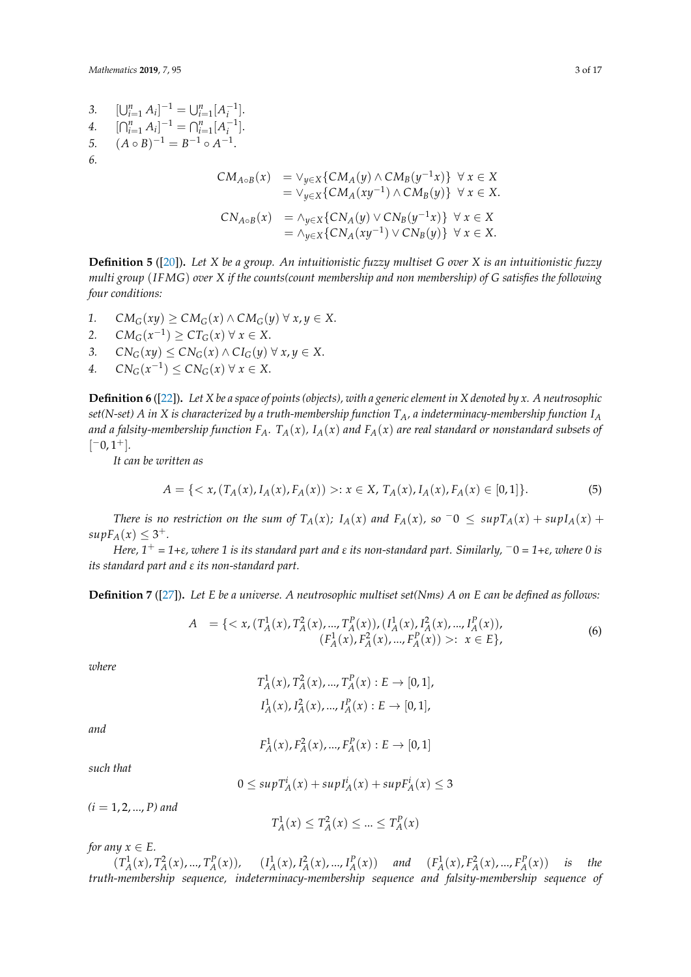*Mathematics* **2019**, *7*, 95 3 of 17

*3.* [  $\bigcup_{i=1}^{n} A_i \big]^{-1} = \bigcup_{i=1}^{n} [A_i^{-1}].$ *4.* [  $\bigcap_{i=1}^{n} A_i \big]^{-1} = \bigcap_{i=1}^{n} [A_i^{-1}].$ *5.*  $(A \circ B)^{-1} = B^{-1} \circ A^{-1}.$ *6. CM*<sub>*A*</sub>⋅*B*(*x*) =  $\vee$ <sub>*y*∈*X*</sub>{*CM*<sub>*A*</sub>(*y*) ∧ *CM*<sub>*B*</sub>(*y*<sup>-1</sup>*x*)} ∀ *x* ∈ *X*  $=$   $\vee y \in X$ {*CM<sub>A</sub>*(*xy*<sup>-1</sup>) ∧ *CM<sub>B</sub>*(*y*)} ∀ *x* ∈ *X*.  $CN_{A \circ B}(x)$  =  $\land$ <sub>*y*∈*X*</sub>{ $CN_A(y)$  ∨  $CN_B(y^{-1}x)$ } ∀ *x* ∈ *X*  $= \land_{y \in X}$ {*CN<sub>A</sub>*(*xy*<sup>-1</sup>) ∨ *CN<sub>B</sub>*(*y*)} ∀ *x* ∈ *X*.

**Definition 5** ([\[20\]](#page-16-1))**.** *Let X be a group. An intuitionistic fuzzy multiset G over X is an intuitionistic fuzzy multi group* (*IFMG*) *over X if the counts(count membership and non membership) of G satisfies the following four conditions:*

- 1.  $CM_G(xy) > CM_G(x) \wedge CM_G(y) \forall x, y \in X$ .
- 2. *CM<sub>G</sub>*( $x^{-1}$ ) ≥ *CT<sub>G</sub>*( $x$ ) ∀  $x \in X$ .
- *3.*  $CN_G(xy)$  ≤  $CN_G(x)$  ∧  $CI_G(y)$  ∀  $x, y \in X$ .
- *4. CN*<sup>*G*</sup>( $x^{-1}$ ) ≤ *CN<sub>G</sub>*( $x$ ) ∀  $x \in X$ .

**Definition 6** ([\[22\]](#page-16-3))**.** *Let X be a space of points (objects), with a generic element in X denoted by x. A neutrosophic set(N-set) A in X is characterized by a truth-membership function TA, a indeterminacy-membership function I<sup>A</sup> and a falsity-membership function*  $F_A$ .  $T_A(x)$ ,  $I_A(x)$  *and*  $F_A(x)$  *are real standard or nonstandard subsets of*  $[-0, 1^+]$ .

*It can be written as*

$$
A = \{ \langle x, (T_A(x), I_A(x), F_A(x)) \rangle : x \in X, T_A(x), I_A(x), F_A(x) \in [0,1] \}. \tag{5}
$$

*There is no restriction on the sum of*  $T_A(x)$ ;  $I_A(x)$  and  $F_A(x)$ , so  $\bar{O} \leq sup T_A(x) + sup I_A(x) +$  $supF_A(x) \leq 3^+$ .

*Here, 1*<sup>+</sup> *= 1+ε, where 1 is its standard part and ε its non-standard part. Similarly,* <sup>−</sup>0 *= 1+ε, where 0 is its standard part and ε its non-standard part.*

**Definition 7** ([\[27\]](#page-16-6))**.** *Let E be a universe. A neutrosophic multiset set(Nms) A on E can be defined as follows:*

$$
A = \{ \langle x, (T_A^1(x), T_A^2(x), ..., T_A^P(x)), (I_A^1(x), I_A^2(x), ..., I_A^P(x)),
$$
  
\n
$$
(F_A^1(x), F_A^2(x), ..., F_A^P(x)) \rangle : x \in E \},
$$
\n(6)

*where*

$$
T_A^1(x), T_A^2(x), ..., T_A^P(x) : E \to [0, 1],
$$
  

$$
I_A^1(x), I_A^2(x), ..., I_A^P(x) : E \to [0, 1],
$$

*and*

$$
F_A^1(x), F_A^2(x), ..., F_A^P(x) : E \to [0, 1]
$$

*such that*

$$
0 \le \sup T_A^i(x) + \sup T_A^i(x) + \sup F_A^i(x) \le 3
$$

*(i* = 1, 2, ..., *P) and*

$$
T_A^1(x) \le T_A^2(x) \le \dots \le T_A^P(x)
$$

*for any*  $x \in E$ .

 $(T_A^1(x), T_A^2(x), ..., T_A^P(x)),$   $(I_A^1(x), I_A^2(x), ..., I_A^P(x))$  and  $(F_A^1(x), F_A^2(x), ..., F_A^P(x))$  is the *truth-membership sequence, indeterminacy-membership sequence and falsity-membership sequence of*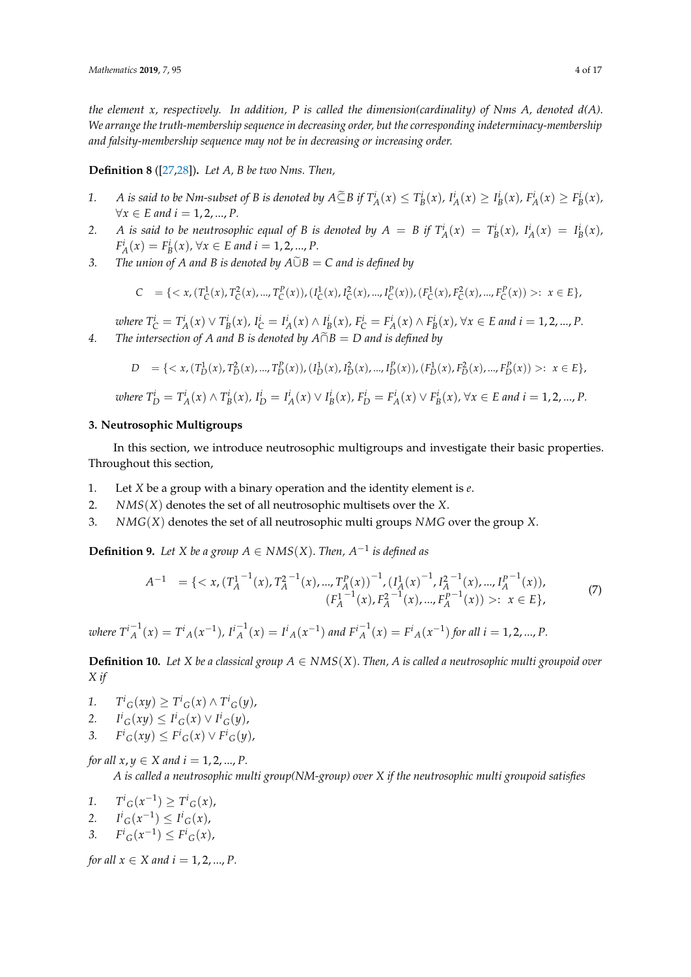*the element x, respectively. In addition, P is called the dimension(cardinality) of Nms A, denoted d(A). We arrange the truth-membership sequence in decreasing order, but the corresponding indeterminacy-membership and falsity-membership sequence may not be in decreasing or increasing order.*

**Definition 8** ([\[27,](#page-16-6)[28\]](#page-16-7))**.** *Let A, B be two Nms. Then,*

- 1. A is said to be Nm-subset of B is denoted by  $A \subseteq B$  if  $T_A^i(x) \leq T_B^i(x)$ ,  $I_A^i(x) \geq I_B^i(x)$ ,  $F_A^i(x) \geq F_B^i(x)$ ,  $∀x ∈ E$  and  $i = 1, 2, ..., P$ .
- 2. A is said to be neutrosophic equal of B is denoted by  $A = B$  if  $T_A^i(x) = T_B^i(x)$ ,  $I_A^i(x) = I_B^i(x)$ ,  $F_A^i(x) = F_B^i(x)$ ,  $\forall x \in E$  and  $i = 1, 2, ..., P$ .
- *3. The union of A and B is denoted by*  $A\tilde{\cup}B = C$  *and is defined by*

$$
C = \{ \langle x, (T_C^1(x), T_C^2(x), ..., T_C^P(x)), (I_C^1(x), I_C^2(x), ..., I_C^P(x)), (F_C^1(x), F_C^2(x), ..., F_C^P(x)) \rangle : x \in E \},
$$

where  $T_{\mathcal{C}}^i = T_A^i(x) \vee T_B^i(x)$ ,  $I_{\mathcal{C}}^i = I_A^i(x) \wedge I_B^i(x)$ ,  $F_{\mathcal{C}}^i = F_A^i(x) \wedge F_B^i(x)$ ,  $\forall x \in E$  and  $i = 1, 2, ..., P$ . *4. The intersection of A and B is denoted by*  $\widehat{A \cap B} = D$  *and is defined by* 

$$
D = \{ \langle x, (T_D^1(x), T_D^2(x), ..., T_D^P(x)), (I_D^1(x), I_D^2(x), ..., I_D^P(x)), (F_D^1(x), F_D^2(x), ..., F_D^P(x)) \rangle : x \in E \},
$$

where 
$$
T_D^i = T_A^i(x) \wedge T_B^i(x)
$$
,  $I_D^i = I_A^i(x) \vee I_B^i(x)$ ,  $F_D^i = F_A^i(x) \vee F_B^i(x)$ ,  $\forall x \in E$  and  $i = 1, 2, ..., P$ .

## <span id="page-3-0"></span>**3. Neutrosophic Multigroups**

In this section, we introduce neutrosophic multigroups and investigate their basic properties. Throughout this section,

- 1. Let *X* be a group with a binary operation and the identity element is *e*.
- 2. *NMS*(*X*) denotes the set of all neutrosophic multisets over the *X*.
- 3. *NMG*(*X*) denotes the set of all neutrosophic multi groups *NMG* over the group *X*.

**Definition 9.** Let *X* be a group  $A \in NMS(X)$ . Then,  $A^{-1}$  is defined as

$$
A^{-1} = \{ \langle x, (T_A^{1-1}(x), T_A^{2-1}(x), ..., T_A^{p}(x))^{-1}, (I_A^1(x)^{-1}, I_A^{2-1}(x), ..., I_A^{p-1}(x)),
$$
  

$$
(F_A^{1-1}(x), F_A^{2-1}(x), ..., F_A^{p-1}(x)) \rangle : x \in E \},
$$
 (7)

where  $T^{i-1}_A(x) = T^i{}_A(x^{-1})$ ,  $I^{i-1}_A(x) = I^i{}_A(x^{-1})$  and  $F^{i-1}_A(x) = F^i{}_A(x^{-1})$  for all  $i = 1, 2, ..., P$ .

<span id="page-3-1"></span>**Definition 10.** Let *X* be a classical group  $A \in NMS(X)$ . Then, *A* is called a neutrosophic multi groupoid over *X if*

- *1.*  $T^i G(xy) \ge T^i G(x) \wedge T^i G(y)$ ,
- *2. I*  $i_G(xy) \leq I^i_G(x) \vee I^i_G(y)$ ,
- *3. F*  $f^i_G(xy) \leq F^i_G(x) \vee F^i_G(y)$ ,

*for all*  $x, y \in X$  *and*  $i = 1, 2, ..., P$ . *A is called a neutrosophic multi group(NM-group) over X if the neutrosophic multi groupoid satisfies*

- *1*.  $T^i_G(x^{-1}) \geq T^i_G(x)$ ,
- 2.  $I^i{}_G(x^{-1}) \leq I^i{}_G(x)$ ,
- 3.  $F^i_G(x^{-1}) \leq F^i_G(x)$ ,

*for all*  $x \in X$  *and*  $i = 1, 2, ..., P$ .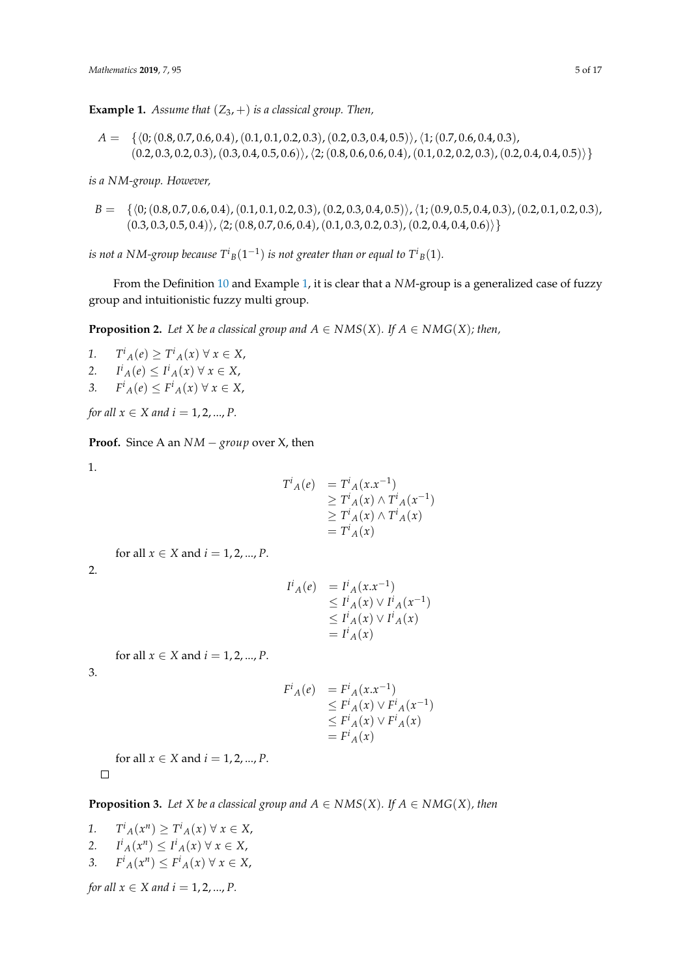<span id="page-4-0"></span>**Example 1.** *Assume that*  $(Z_3, +)$  *is a classical group. Then,* 

 $A = \{ \langle 0; (0.8, 0.7, 0.6, 0.4), (0.1, 0.1, 0.2, 0.3), (0.2, 0.3, 0.4, 0.5) \rangle, (1; (0.7, 0.6, 0.4, 0.3),$  $(0.2, 0.3, 0.2, 0.3), (0.3, 0.4, 0.5, 0.6))$ ,  $\langle 2; (0.8, 0.6, 0.6, 0.4), (0.1, 0.2, 0.2, 0.3), (0.2, 0.4, 0.4, 0.5)) \rangle$ 

*is a NM-group. However,*

 $B = \{\langle 0; (0.8, 0.7, 0.6, 0.4), (0.1, 0.1, 0.2, 0.3), (0.2, 0.3, 0.4, 0.5)\rangle, (1; (0.9, 0.5, 0.4, 0.3), (0.2, 0.1, 0.2, 0.3),\rangle\}$  $(0.3, 0.3, 0.5, 0.4)\rangle$ ,  $\langle 2; (0.8, 0.7, 0.6, 0.4), (0.1, 0.3, 0.2, 0.3), (0.2, 0.4, 0.4, 0.6)\rangle$ 

*is not a NM-group because*  $T^{i}{}_{B}(1^{-1})$  *<i>is not greater than or equal to*  $T^{i}{}_{B}(1)$ *.* 

From the Definition [10](#page-3-1) and Example [1,](#page-4-0) it is clear that a *NM*-group is a generalized case of fuzzy group and intuitionistic fuzzy multi group.

<span id="page-4-1"></span>**Proposition 2.** *Let X be a classical group and*  $A \in NMS(X)$ *. If*  $A \in NMG(X)$ *; then,* 

*1. T i <sup>A</sup>*(*e*) ≥ *T i <sup>A</sup>*(*x*) ∀ *x* ∈ *X*, *2. I i <sup>A</sup>*(*e*) ≤ *I i <sup>A</sup>*(*x*) ∀ *x* ∈ *X*, *3.*  $F^i_A(e) \leq F^i_A(x) \forall x \in X$ ,

*for all*  $x \in X$  *and*  $i = 1, 2, ..., P$ .

**Proof.** Since A an *NM* − *group* over X, then

1.

$$
T^{i}{}_{A}(e) = T^{i}{}_{A}(x.x^{-1})
$$
  
\n
$$
\geq T^{i}{}_{A}(x) \wedge T^{i}{}_{A}(x^{-1})
$$
  
\n
$$
\geq T^{i}{}_{A}(x) \wedge T^{i}{}_{A}(x)
$$
  
\n
$$
= T^{i}{}_{A}(x)
$$

for all  $x \in X$  and  $i = 1, 2, ..., P$ .

2.

$$
IiA(e) = IiA(x.x-1)
$$
  
\n
$$
\leq IiA(x) \vee IiA(x-1)
$$
  
\n
$$
\leq IiA(x) \vee IiA(x)
$$
  
\n
$$
= IiA(x)
$$

for all  $x \in X$  and  $i = 1, 2, ..., P$ .

3.

$$
F^i{}_A(e) = F^i{}_A(x.x^{-1})
$$
  
\n
$$
\leq F^i{}_A(x) \vee F^i{}_A(x^{-1})
$$
  
\n
$$
\leq F^i{}_A(x) \vee F^i{}_A(x)
$$
  
\n
$$
= F^i{}_A(x)
$$

for all  $x \in X$  and  $i = 1, 2, ..., P$ .  $\Box$ 

**Proposition 3.** Let *X* be a classical group and  $A \in NMS(X)$ . If  $A \in NMG(X)$ , then

- *1. T*  $f^i_A(x^n) \geq T^i_A(x) \forall x \in X$ , *2. I*  $i_A(x^n) \leq I^i_A(x) \forall x \in X$ , *3. F*
- $f^i_A(x^n) \leq F^i_A(x) \forall x \in X$ , *for all*  $x \in X$  *and*  $i = 1, 2, ..., P$ .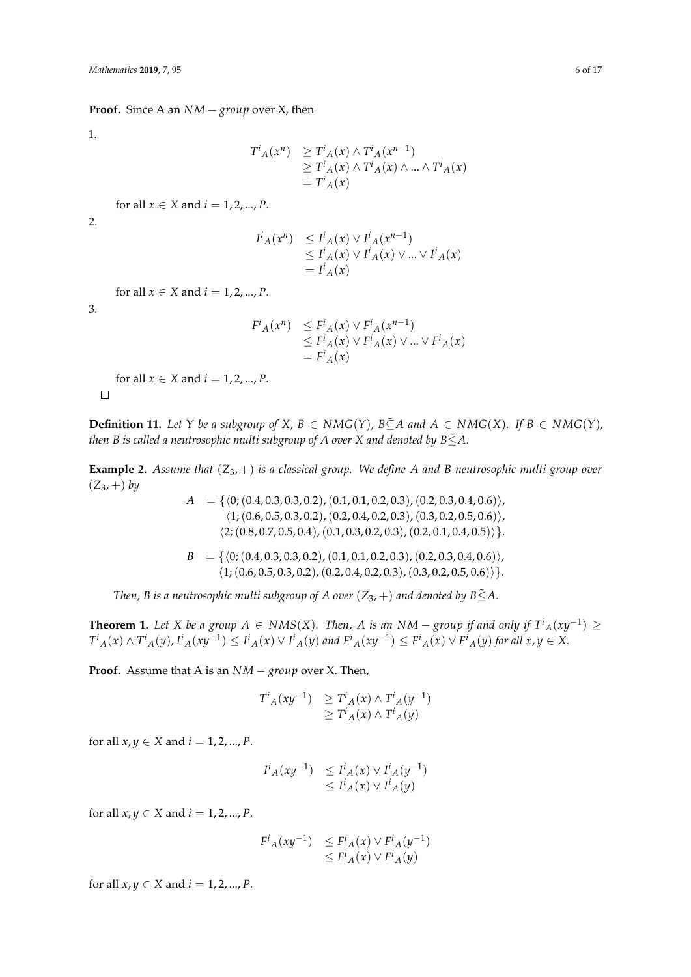#### **Proof.** Since A an *NM* − *group* over X, then

1.

$$
T^{i}{}_{A}(x^{n}) \geq T^{i}{}_{A}(x) \wedge T^{i}{}_{A}(x^{n-1})
$$
  
\n
$$
\geq T^{i}{}_{A}(x) \wedge T^{i}{}_{A}(x) \wedge ... \wedge T^{i}{}_{A}(x)
$$
  
\n
$$
= T^{i}{}_{A}(x)
$$

for all  $x \in X$  and  $i = 1, 2, ..., P$ .

2.

$$
IiA(xn) \leq IiA(x) \vee IiA(xn-1)
$$
  
\leq I<sup>i</sup><sub>A</sub>(x) \vee I<sup>i</sup><sub>A</sub>(x) \vee ... \vee I<sup>i</sup><sub>A</sub>(x)  
\n= I<sup>i</sup><sub>A</sub>(x)

for all  $x \in X$  and  $i = 1, 2, ..., P$ .

3.

 $\Box$ 

$$
F^i{}_A(x^n) \leq F^i{}_A(x) \vee F^i{}_A(x^{n-1})
$$
  
\n
$$
\leq F^i{}_A(x) \vee F^i{}_A(x) \vee \dots \vee F^i{}_A(x)
$$
  
\n
$$
= F^i{}_A(x)
$$

for all  $x \in X$  and  $i = 1, 2, ..., P$ .

**Definition 11.** Let *Y* be a subgroup of *X*, *B* ∈ *NMG*(*Y*), *B*⊆ $A$  and  $A$  ∈ *NMG*(*X*). *If B* ∈ *NMG*(*Y*), *then B is called a neutrosophic multi subgroup of A over X and denoted by B* $\leq$ A.

**Example 2.** *Assume that* (*Z*3, +) *is a classical group. We define A and B neutrosophic multi group over*  $(Z_3, +) by$ 

> $A = \{ (0; (0.4, 0.3, 0.3, 0.2), (0.1, 0.1, 0.2, 0.3), (0.2, 0.3, 0.4, 0.6) \},\$  $\langle 1; (0.6, 0.5, 0.3, 0.2), (0.2, 0.4, 0.2, 0.3), (0.3, 0.2, 0.5, 0.6) \rangle$  $\langle 2; (0.8, 0.7, 0.5, 0.4), (0.1, 0.3, 0.2, 0.3), (0.2, 0.1, 0.4, 0.5) \rangle$ .  $B = \{ (0, (0.4, 0.3, 0.3, 0.2), (0.1, 0.1, 0.2, 0.3), (0.2, 0.3, 0.4, 0.6) \},\$  $\langle 1; (0.6, 0.5, 0.3, 0.2), (0.2, 0.4, 0.2, 0.3), (0.3, 0.2, 0.5, 0.6) \rangle$ .

*Then, B is a neutrosophic multi subgroup of A over*  $(Z_3, +)$  *and denoted by B* $\leq$ A.

<span id="page-5-0"></span>**Theorem 1.** Let *X* be a group  $A \in NMS(X)$ . Then,  $A$  is an  $NM -$  group if and only if  $T^i{}_A(xy^{-1}) \ge$  $T^i{}_A(x)\wedge T^i{}_A(y)$ ,  $I^i{}_A(xy^{-1})\leq I^i{}_A(x)\vee I^i{}_A(y)$  and  $F^i{}_A(xy^{-1})\leq F^i{}_A(x)\vee F^i{}_A(y)$  for all  $x,y\in X.$ 

**Proof.** Assume that A is an *NM* − *group* over X. Then,

$$
T^{i}{}_{A}(xy^{-1}) \geq T^{i}{}_{A}(x) \wedge T^{i}{}_{A}(y^{-1})
$$
  

$$
\geq T^{i}{}_{A}(x) \wedge T^{i}{}_{A}(y)
$$

for all  $x, y \in X$  and  $i = 1, 2, ..., P$ .

$$
I^i{}_A(xy^{-1}) \leq I^i{}_A(x) \vee I^i{}_A(y^{-1})
$$
  

$$
\leq I^i{}_A(x) \vee I^i{}_A(y)
$$

for all  $x, y \in X$  and  $i = 1, 2, ..., P$ .

$$
F^i{}_A(xy^{-1}) \leq F^i{}_A(x) \vee F^i{}_A(y^{-1})
$$
  

$$
\leq F^i{}_A(x) \vee F^i{}_A(y)
$$

for all  $x, y \in X$  and  $i = 1, 2, ..., P$ .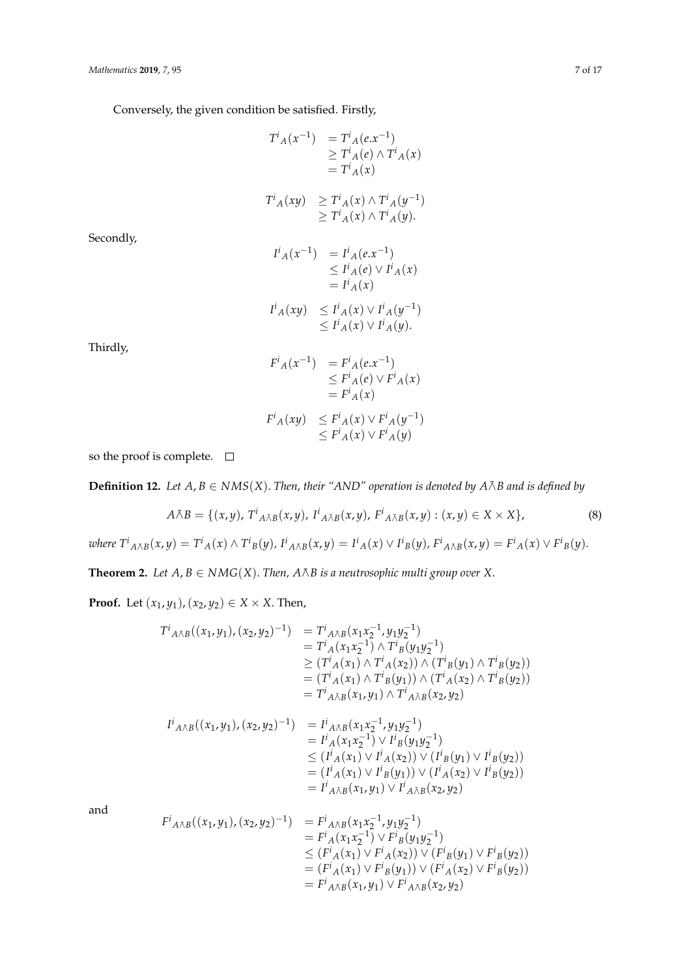Conversely, the given condition be satisfied. Firstly,

$$
T^{i}{}_{A}(x^{-1}) = T^{i}{}_{A}(e.x^{-1})
$$
  
\n
$$
\geq T^{i}{}_{A}(e) \wedge T^{i}{}_{A}(x)
$$
  
\n
$$
= T^{i}{}_{A}(x)
$$
  
\n
$$
T^{i}{}_{A}(xy) \geq T^{i}{}_{A}(x) \wedge T^{i}{}_{A}(y^{-1})
$$
  
\n
$$
\geq T^{i}{}_{A}(x) \wedge T^{i}{}_{A}(y).
$$

Secondly,

$$
I^{i}{}_{A}(x^{-1}) = I^{i}{}_{A}(e.x^{-1})
$$
  
\n
$$
\leq I^{i}{}_{A}(e) \vee I^{i}{}_{A}(x)
$$
  
\n
$$
= I^{i}{}_{A}(x)
$$

$$
I^i{}_A(xy) \leq I^i{}_A(x) \vee I^i{}_A(y^{-1})
$$
  

$$
\leq I^i{}_A(x) \vee I^i{}_A(y).
$$

Thirdly,

$$
F^i{}_A(x^{-1}) = F^i{}_A(e.x^{-1})
$$
  
\n
$$
\leq F^i{}_A(e) \vee F^i{}_A(x)
$$
  
\n
$$
= F^i{}_A(x)
$$
  
\n
$$
F^i{}_A(xy) \leq F^i{}_A(x) \vee F^i{}_A(y^{-1})
$$
  
\n
$$
\leq F^i{}_A(x) \vee F^i{}_A(y)
$$

so the proof is complete.  $\quad \Box$ 

**Definition 12.** *Let*  $A, B ∈ NMS(X)$ *. Then, their "AND" operation is denoted by*  $A \tilde{A}B$  *and is defined by* 

$$
A \tilde{\wedge} B = \{ (x, y), T^i{}_{A \tilde{\wedge} B}(x, y), I^i{}_{A \tilde{\wedge} B}(x, y), F^i{}_{A \tilde{\wedge} B}(x, y) : (x, y) \in X \times X \},
$$
\n
$$
(8)
$$

where  $T^i{}_{A\tilde{\wedge}B}(x,y)=T^i{}_{A}(x)\wedge T^i{}_{B}(y)$ ,  $I^i{}_{A\tilde{\wedge}B}(x,y)=I^i{}_{A}(x)\vee I^i{}_{B}(y)$ ,  $F^i{}_{A\tilde{\wedge}B}(x,y)=F^i{}_{A}(x)\vee F^i{}_{B}(y)$ .

**Theorem 2.** *Let*  $A, B \in NMG(X)$ . *Then,*  $A \tilde{\wedge} B$  *is a neutrosophic multi group over* X.

**Proof.** Let  $(x_1, y_1)$ ,  $(x_2, y_2) \in X \times X$ . Then,

$$
T^{i}{}_{A\bar{\wedge}B}((x_{1},y_{1}),(x_{2},y_{2})^{-1}) = T^{i}{}_{A\bar{\wedge}B}(x_{1}x_{2}^{-1},y_{1}y_{2}^{-1})
$$
  
\n
$$
= T^{i}{}_{A}(x_{1}x_{2}^{-1}) \wedge T^{i}{}_{B}(y_{1}y_{2}^{-1})
$$
  
\n
$$
\geq (T^{i}{}_{A}(x_{1}) \wedge T^{i}{}_{A}(x_{2})) \wedge (T^{i}{}_{B}(y_{1}) \wedge T^{i}{}_{B}(y_{2}))
$$
  
\n
$$
= (T^{i}{}_{A}(x_{1}) \wedge T^{i}{}_{B}(y_{1})) \wedge (T^{i}{}_{A}(x_{2}) \wedge T^{i}{}_{B}(y_{2}))
$$
  
\n
$$
= T^{i}{}_{A\bar{\wedge}B}(x_{1},y_{1}) \wedge T^{i}{}_{A\bar{\wedge}B}(x_{2},y_{2})
$$

$$
I^{i}{}_{A\bar{\wedge}B}((x_{1},y_{1}),(x_{2},y_{2})^{-1}) = I^{i}{}_{A\bar{\wedge}B}(x_{1}x_{2}^{-1},y_{1}y_{2}^{-1})
$$
  
\n
$$
= I^{i}{}_{A}(x_{1}x_{2}^{-1}) \vee I^{i}{}_{B}(y_{1}y_{2}^{-1})
$$
  
\n
$$
\leq (I^{i}{}_{A}(x_{1}) \vee I^{i}{}_{A}(x_{2})) \vee (I^{i}{}_{B}(y_{1}) \vee I^{i}{}_{B}(y_{2}))
$$
  
\n
$$
= (I^{i}{}_{A}(x_{1}) \vee I^{i}{}_{B}(y_{1})) \vee (I^{i}{}_{A}(x_{2}) \vee I^{i}{}_{B}(y_{2}))
$$
  
\n
$$
= I^{i}{}_{A\bar{\wedge}B}(x_{1},y_{1}) \vee I^{i}{}_{A\bar{\wedge}B}(x_{2},y_{2})
$$

and

$$
F^{i}{}_{A\tilde{\wedge}B}((x_{1},y_{1}),(x_{2},y_{2})^{-1}) = F^{i}{}_{A\tilde{\wedge}B}(x_{1}x_{2}^{-1},y_{1}y_{2}^{-1})
$$
  
\n
$$
= F^{i}{}_{A}(x_{1}x_{2}^{-1}) \vee F^{i}{}_{B}(y_{1}y_{2}^{-1})
$$
  
\n
$$
\leq (F^{i}{}_{A}(x_{1}) \vee F^{i}{}_{A}(x_{2})) \vee (F^{i}{}_{B}(y_{1}) \vee F^{i}{}_{B}(y_{2}))
$$
  
\n
$$
= (F^{i}{}_{A}(x_{1}) \vee F^{i}{}_{B}(y_{1})) \vee (F^{i}{}_{A}(x_{2}) \vee F^{i}{}_{B}(y_{2}))
$$
  
\n
$$
= F^{i}{}_{A\tilde{\wedge}B}(x_{1},y_{1}) \vee F^{i}{}_{A\tilde{\wedge}B}(x_{2},y_{2})
$$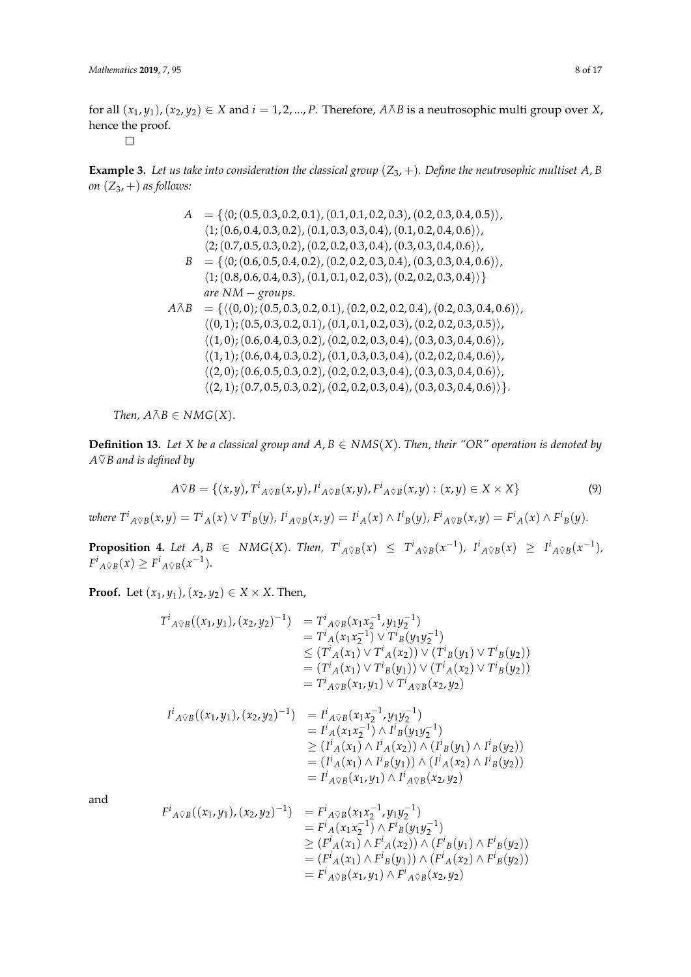for all  $(x_1, y_1)$ ,  $(x_2, y_2) \in X$  and  $i = 1, 2, ..., P$ . Therefore,  $A \wedge B$  is a neutrosophic multi group over *X*, hence the proof.

 $\Box$ 

**Example 3.** Let us take into consideration the classical group  $(Z_3, +)$ . Define the neutrosophic multiset A, B *on*  $(Z_3, +)$  *as follows:* 

$$
A = \{ \langle 0; (0.5, 0.3, 0.2, 0.1), (0.1, 0.1, 0.2, 0.3), (0.2, 0.3, 0.4, 0.5) \rangle, \langle 1; (0.6, 0.4, 0.3, 0.2), (0.1, 0.3, 0.3, 0.4), (0.1, 0.2, 0.4, 0.6) \rangle, \langle 2; (0.7, 0.5, 0.3, 0.2), (0.2, 0.2, 0.3, 0.4), (0.3, 0.3, 0.4, 0.6) \rangle, \langle 1; (0.8, 0.6, 0.5, 0.4, 0.2), (0.2, 0.2, 0.3, 0.4), (0.3, 0.3, 0.4, 0.6) \rangle, \langle 1; (0.8, 0.6, 0.4, 0.3), (0.1, 0.1, 0.2, 0.3), (0.2, 0.2, 0.3, 0.4) \rangle \}
$$
\n
$$
are NM - groups.
$$
\n
$$
A\tilde{\wedge}B = \{ \langle (0, 0); (0.5, 0.3, 0.2, 0.1), (0.2, 0.2, 0.2, 0.4), (0.2, 0.3, 0.4, 0.6) \rangle, \langle (0, 1); (0.5, 0.3, 0.2, 0.1), (0.1, 0.1, 0.2, 0.3), (0.2, 0.2, 0.3, 0.5) \rangle, \langle (1, 0); (0.6, 0.4, 0.3, 0.2), (0.2, 0.2, 0.3, 0.4), (0.3, 0.3, 0.4, 0.6) \rangle, \langle (1, 1); (0.6, 0.4, 0.3, 0.2), (0.1, 0.3, 0.3, 0.4), (0.2, 0.2, 0.4, 0.6) \rangle, \langle (2, 0); (0.6, 0.5, 0.3, 0.2), (0.2, 0.2, 0.3, 0.4), (0.3, 0.3, 0.4, 0.6) \rangle, \langle (2, 1); (0.7, 0.5,
$$

*Then,*  $A \tilde{\wedge} B \in NMG(X)$ .

**Definition 13.** Let *X* be a classical group and  $A, B \in NMS(X)$ . Then, their "OR" operation is denoted by *A*∨˜ *B and is defined by*

$$
A \tilde{\vee} B = \{ (x, y), T^i_{A \tilde{\vee} B}(x, y), I^i_{A \tilde{\vee} B}(x, y), F^i_{A \tilde{\vee} B}(x, y) : (x, y) \in X \times X \}
$$
(9)

where  $T^i{}_{A\tilde{\vee}B}(x,y) = T^i{}_{A}(x) \vee T^i{}_{B}(y)$ ,  $I^i{}_{A\tilde{\vee}B}(x,y) = I^i{}_{A}(x) \wedge I^i{}_{B}(y)$ ,  $F^i{}_{A\tilde{\vee}B}(x,y) = F^i{}_{A}(x) \wedge F^i{}_{B}(y)$ .

**Proposition 4.** Let  $A, B \in NMG(X)$ . Then,  $T^i{}_{A \tilde{\vee} B}(x) \leq T^i{}_{A \tilde{\vee} B}(x^{-1})$ ,  $I^i{}_{A \tilde{\vee} B}(x) \geq I^i{}_{A \tilde{\vee} B}(x^{-1})$ ,  $F^i{}_{A\tilde{\vee}B}(x) \geq F^i{}_{A\tilde{\vee}B}(x^{-1}).$ 

**Proof.** Let  $(x_1, y_1)$ ,  $(x_2, y_2)$  ∈ *X* × *X*. Then,

$$
T^{i}{}_{A\tilde{v}B}((x_{1},y_{1}),(x_{2},y_{2})^{-1}) = T^{i}{}_{A\tilde{v}B}(x_{1}x_{2}^{-1},y_{1}y_{2}^{-1})
$$
  
\n
$$
= T^{i}{}_{A}(x_{1}x_{2}^{-1}) \vee T^{i}{}_{B}(y_{1}y_{2}^{-1})
$$
  
\n
$$
\leq (T^{i}{}_{A}(x_{1}) \vee T^{i}{}_{A}(x_{2})) \vee (T^{i}{}_{B}(y_{1}) \vee T^{i}{}_{B}(y_{2}))
$$
  
\n
$$
= (T^{i}{}_{A}(x_{1}) \vee T^{i}{}_{B}(y_{1})) \vee (T^{i}{}_{A}(x_{2}) \vee T^{i}{}_{B}(y_{2}))
$$
  
\n
$$
= T^{i}{}_{A\tilde{v}B}(x_{1},y_{1}) \vee T^{i}{}_{A\tilde{v}B}(x_{2},y_{2})
$$

$$
I^{i}{}_{A\tilde{v}B}((x_{1},y_{1}),(x_{2},y_{2})^{-1}) = I^{i}{}_{A\tilde{v}B}(x_{1}x_{2}^{-1},y_{1}y_{2}^{-1})
$$
  
\n
$$
= I^{i}{}_{A}(x_{1}x_{2}^{-1}) \wedge I^{i}{}_{B}(y_{1}y_{2}^{-1})
$$
  
\n
$$
\geq (I^{i}{}_{A}(x_{1}) \wedge I^{i}{}_{A}(x_{2})) \wedge (I^{i}{}_{B}(y_{1}) \wedge I^{i}{}_{B}(y_{2}))
$$
  
\n
$$
= (I^{i}{}_{A}(x_{1}) \wedge I^{i}{}_{B}(y_{1})) \wedge (I^{i}{}_{A}(x_{2}) \wedge I^{i}{}_{B}(y_{2}))
$$
  
\n
$$
= I^{i}{}_{A\tilde{v}B}(x_{1},y_{1}) \wedge I^{i}{}_{A\tilde{v}B}(x_{2},y_{2})
$$

and

$$
F^{i}{}_{A\tilde{v}B}((x_{1},y_{1}),(x_{2},y_{2})^{-1}) = F^{i}{}_{A\tilde{v}B}(x_{1}x_{2}^{-1},y_{1}y_{2}^{-1})
$$
  
\n
$$
= F^{i}{}_{A}(x_{1}x_{2}^{-1}) \wedge F^{i}{}_{B}(y_{1}y_{2}^{-1})
$$
  
\n
$$
\geq (F^{i}{}_{A}(x_{1}) \wedge F^{i}{}_{A}(x_{2})) \wedge (F^{i}{}_{B}(y_{1}) \wedge F^{i}{}_{B}(y_{2}))
$$
  
\n
$$
= (F^{i}{}_{A}(x_{1}) \wedge F^{i}{}_{B}(y_{1})) \wedge (F^{i}{}_{A}(x_{2}) \wedge F^{i}{}_{B}(y_{2}))
$$
  
\n
$$
= F^{i}{}_{A\tilde{v}B}(x_{1},y_{1}) \wedge F^{i}{}_{A\tilde{v}B}(x_{2},y_{2})
$$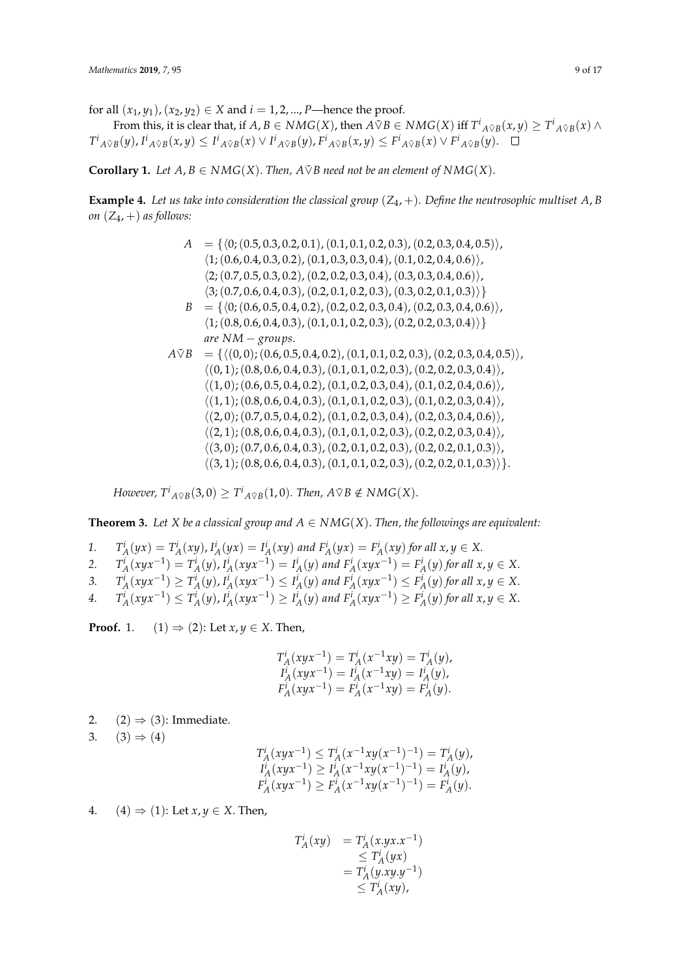for all  $(x_1, y_1)$ ,  $(x_2, y_2) \in X$  and  $i = 1, 2, ..., P$ —hence the proof.

From this, it is clear that, if  $A,B\in NMG(X)$ , then  $A\tilde{\vee}B\in NMG(X)$  iff  $T^i{}_{A\tilde{\vee}B}(x,y)\geq T^i{}_{A\tilde{\vee}B}(x)\wedge T^i{}_{A\tilde{\vee}B}(x)$  $T^i{}_{A\tilde{\vee}B}(y)$ ,  $I^i{}_{A\tilde{\vee}B}(x,y) \leq I^i{}_{A\tilde{\vee}B}(x) \vee I^i{}_{A\tilde{\vee}B}(y)$ ,  $F^i{}_{A\tilde{\vee}B}(x,y) \leq F^i{}_{A\tilde{\vee}B}(x) \vee F^i{}_{A\tilde{\vee}B}(y)$ .

**Corollary 1.** *Let*  $A, B \in NMG(X)$ *. Then,*  $A \tilde{\vee} B$  need not be an element of  $NMG(X)$ *.* 

**Example 4.** Let us take into consideration the classical group  $(Z_4, +)$ . Define the neutrosophic multiset A, B *on*  $(Z_4, +)$  *as follows:* 

$$
A = \{ \langle 0; (0.5, 0.3, 0.2, 0.1), (0.1, 0.1, 0.2, 0.3), (0.2, 0.3, 0.4, 0.5) \rangle, \\ \langle 1; (0.6, 0.4, 0.3, 0.2), (0.1, 0.3, 0.3, 0.4), (0.1, 0.2, 0.4, 0.6) \rangle, \\ \langle 2; (0.7, 0.5, 0.3, 0.2), (0.2, 0.2, 0.3, 0.4), (0.3, 0.3, 0.4, 0.6) \rangle, \\ \langle 3; (0.7, 0.6, 0.4, 0.3), (0.2, 0.1, 0.2, 0.3), (0.3, 0.2, 0.1, 0.3) \rangle \}
$$
\n
$$
B = \{ \langle 0; (0.6, 0.5, 0.4, 0.2), (0.2, 0.2, 0.3, 0.4), (0.2, 0.3, 0.4, 0.6) \rangle, \\ \langle 1; (0.8, 0.6, 0.4, 0.3), (0.1, 0.1, 0.2, 0.3), (0.2, 0.2, 0.3, 0.4) \rangle \}
$$
\n
$$
are NM - groups.
$$
\n
$$
A \tilde{v}B = \{ \langle (0, 0); (0.6, 0.5, 0.4, 0.2), (0.1, 0.1, 0.2, 0.3), (0.2, 0.3, 0.4, 0.5) \rangle, \\ \langle (0, 1); (0.8, 0.6, 0.4, 0.3), (0.1, 0.1, 0.2, 0.3), (0.2, 0.2, 0.3, 0.4) \rangle, \\ \langle (1, 0); (0.6, 0.5, 0.4, 0.2), (0.1, 0.2, 0.3, 0.4), (0.1, 0.2, 0.3, 0.4) \rangle, \\ \langle (1, 1); (0.8, 0.6, 0.4, 0.3), (0.1, 0.1, 0.2, 0.3), (0.1, 0.2, 0.3, 0.4) \rangle, \\ \langle (2,
$$

*However,*  $T^i{}_{A \tilde{\vee} B}(3,0) \geq T^i{}_{A \tilde{\vee} B}(1,0)$ *. Then,*  $A \tilde{\vee} B \notin NMG(X)$ *.* 

**Theorem 3.** Let X be a classical group and  $A \in NMG(X)$ . Then, the followings are equivalent:

- 1.  $T_A^i(yx) = T_A^i(xy)$ ,  $I_A^i(yx) = I_A^i(xy)$  and  $F_A^i(yx) = F_A^i(xy)$  for all  $x, y \in X$ .  $A(y^{\lambda}) = I_A(\lambda y)$ ,  $I_A(y^{\lambda}) = I_A(\lambda y)$  and  $I_A(y^{\lambda}) = I_A$
- 2.  $T_A^i(xyx^{-1}) = T_A^i(y)$ ,  $I_A^i(xyx^{-1}) = I_A^i(y)$  and  $F_A^i(xyx^{-1}) = F_A^i(y)$  for all  $x, y \in X$ .
- 3.  $T_A^i(xyx^{-1}) \ge T_A^i(y)$ ,  $I_A^i(xyx^{-1}) \le I_A^i(y)$  and  $F_A^i(xyx^{-1}) \le F_A^i(y)$  for all  $x, y \in X$ .

4.  $T_A^i(xyx^{-1}) \le T_A^i(y)$ ,  $I_A^i(xyx^{-1}) \ge I_A^i(y)$  and  $F_A^i(xyx^{-1}) \ge F_A^i(y)$  for all  $x, y \in X$ .

**Proof.** 1.  $(1) \Rightarrow (2)$ : Let  $x, y \in X$ . Then,

$$
\begin{array}{l} T_A^i(xyx^{-1})=T_A^i(x^{-1}xy)=T_A^i(y),\\ I_A^i(xyx^{-1})=I_A^i(x^{-1}xy)=I_A^i(y),\\ F_A^i(xyx^{-1})=F_A^i(x^{-1}xy)=F_A^i(y). \end{array}
$$

2.  $(2) \Rightarrow (3)$ : Immediate.

3.  $(3) \Rightarrow (4)$ 

$$
T_A^i(xyx^{-1}) \leq T_A^i(x^{-1}xy(x^{-1})^{-1}) = T_A^i(y),
$$
  
\n
$$
T_A^i(xyx^{-1}) \geq T_A^i(x^{-1}xy(x^{-1})^{-1}) = T_A^i(y),
$$
  
\n
$$
F_A^i(xyx^{-1}) \geq F_A^i(x^{-1}xy(x^{-1})^{-1}) = F_A^i(y).
$$

4.  $(4) \Rightarrow (1)$ : Let  $x, y \in X$ . Then,

$$
T_A^i(xy) = T_A^i(x.yx.x^{-1})
$$
  
\n
$$
\leq T_A^i(yx)
$$
  
\n
$$
= T_A^i(y.y.y^{-1})
$$
  
\n
$$
\leq T_A^i(xy),
$$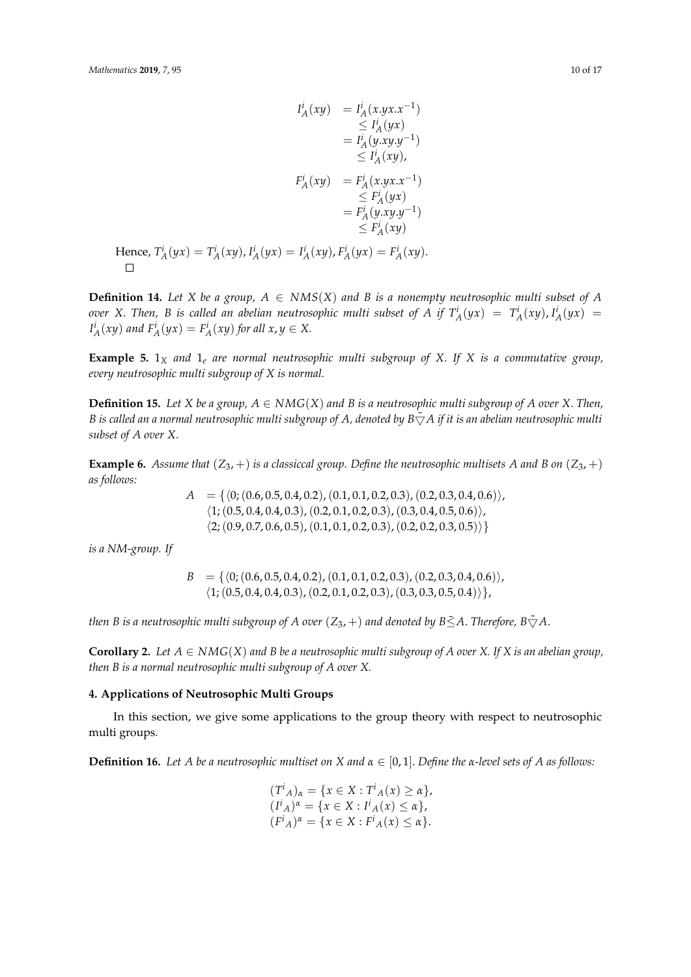$$
I_A^i(xy) = I_A^i(x,yx.x^{-1})
$$
  
\n
$$
\leq I_A^i(yx)
$$
  
\n
$$
= I_A^i(y.y.y.y^{-1})
$$
  
\n
$$
\leq I_A^i(xy),
$$
  
\n
$$
F_A^i(xy) = F_A^i(x.yx.x^{-1})
$$
  
\n
$$
= F_A^i(yx)
$$
  
\n
$$
= F_A^i(yx)
$$
  
\n
$$
= F_A^i(yx)y^{-1}
$$
  
\n
$$
\leq F_A^i(xy)
$$
  
\nHence,  $T_A^i(yx) = T_A^i(xy), I_A^i(yx) = I_A^i(xy), F_A^i(yx) = F_A^i(xy).$ 

**Definition 14.** Let X be a group,  $A \in NMS(X)$  and B is a nonempty neutrosophic multi subset of A over X. Then, B is called an abelian neutrosophic multi subset of A if  $T_A^i(yx) = T_A^i(xy)$ ,  $I_A^i(yx) =$  $I_A^i(xy)$  and  $F_A^i(yx) = F_A^i(xy)$  for all  $x, y \in X$ .

**Example 5.**  $1_X$  *and*  $1_e$  *are normal neutrosophic multi subgroup of X. If X is a commutative group, every neutrosophic multi subgroup of X is normal.*

**Definition 15.** Let *X* be a group,  $A \in NMG(X)$  and *B* is a neutrosophic multi subgroup of *A* over *X*. Then, *B* is called an a normal neutrosophic multi subgroup of A, denoted by  $B\tilde{\nabla}A$  if it is an abelian neutrosophic multi *subset of A over X.*

**Example 6.** Assume that  $(Z_3, +)$  is a classiccal group. Define the neutrosophic multisets A and B on  $(Z_3, +)$ *as follows:*

> $A = \{ (0, (0.6, 0.5, 0.4, 0.2), (0.1, 0.1, 0.2, 0.3), (0.2, 0.3, 0.4, 0.6) \},\$  $\langle 1;(0.5, 0.4, 0.4, 0.3), (0.2, 0.1, 0.2, 0.3), (0.3, 0.4, 0.5, 0.6)\rangle,$  $\langle 2; (0.9, 0.7, 0.6, 0.5), (0.1, 0.1, 0.2, 0.3), (0.2, 0.2, 0.3, 0.5) \rangle$

*is a NM-group. If*

 $B = \{ (0, (0.6, 0.5, 0.4, 0.2), (0.1, 0.1, 0.2, 0.3), (0.2, 0.3, 0.4, 0.6) \},\$  $\langle 1; (0.5, 0.4, 0.4, 0.3), (0.2, 0.1, 0.2, 0.3), (0.3, 0.3, 0.5, 0.4) \rangle$ 

*then B is a neutrosophic multi subgroup of A over*  $(Z_3, +)$  *and denoted by B* $\leq$ A. *Therefore, B* $\tilde{\bigtriangledown}$ A.

**Corollary 2.** Let  $A \in NMG(X)$  and B be a neutrosophic multi subgroup of A over X. If X is an abelian group, *then B is a normal neutrosophic multi subgroup of A over X.*

## <span id="page-9-0"></span>**4. Applications of Neutrosophic Multi Groups**

In this section, we give some applications to the group theory with respect to neutrosophic multi groups.

**Definition 16.** Let A be a neutrosophic multiset on X and  $\alpha \in [0,1]$ . Define the  $\alpha$ -level sets of A as follows:

$$
(T^{i}{}_{A})_{\alpha} = \{x \in X : T^{i}{}_{A}(x) \ge \alpha\},
$$
  
\n
$$
(I^{i}{}_{A})^{\alpha} = \{x \in X : I^{i}{}_{A}(x) \le \alpha\},
$$
  
\n
$$
(F^{i}{}_{A})^{\alpha} = \{x \in X : F^{i}{}_{A}(x) \le \alpha\}.
$$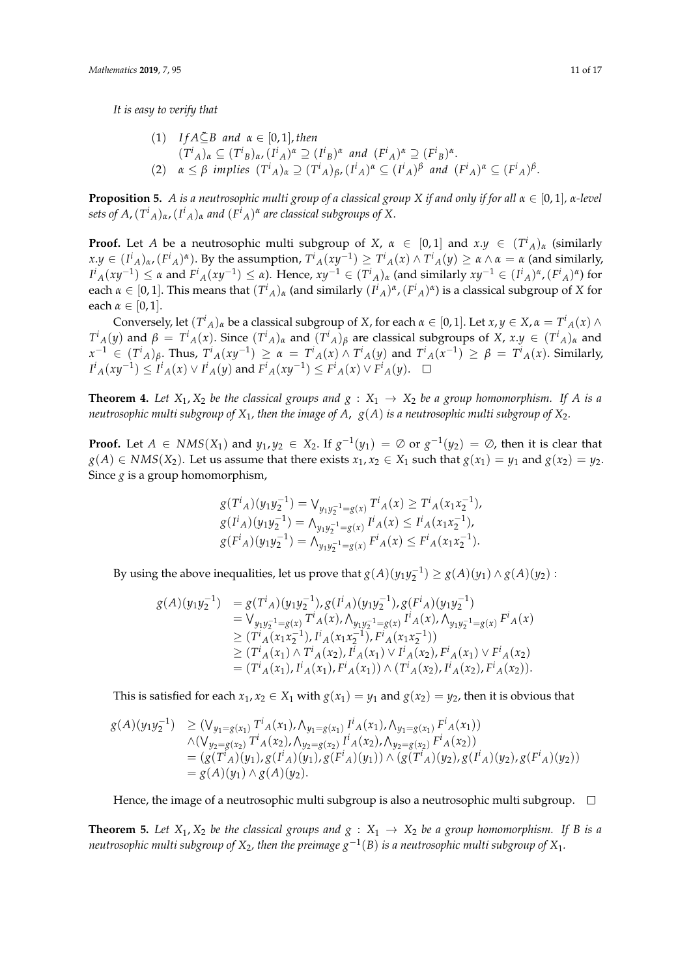*It is easy to verify that*

\n- (1) 
$$
If A \subseteq B
$$
 and  $\alpha \in [0,1]$ , then
\n- $(T^i_A)_\alpha \subseteq (T^i_B)_{\alpha}$ ,  $(I^i_A)^\alpha \supseteq (I^i_B)^\alpha$  and  $(F^i_A)^\alpha \supseteq (F^i_B)^\alpha$ .
\n- (2)  $\alpha \leq \beta$  implies  $(T^i_A)_\alpha \supseteq (T^i_A)_\beta$ ,  $(I^i_A)^\alpha \subseteq (I^i_A)^\beta$  and  $(F^i_A)^\alpha \subseteq (F^i_A)^\beta$ .
\n

**Proposition 5.** *A is a neutrosophic multi group of a classical group X if and only if for all α* ∈ [0, 1]*, α-level sets of A,*  $(T^{i}{}_{A})_{\alpha}$ ,  $(I^{i}{}_{A})_{\alpha}$  and  $(F^{i}{}_{A})^{\alpha}$  are classical subgroups of X.

**Proof.** Let *A* be a neutrosophic multi subgroup of *X*,  $\alpha \in [0,1]$  and  $x,y \in (T^i)_\alpha$  (similarly  $x.y \in (I^i{}_{A})_\alpha$ ,  $(F^i{}_{A})^\alpha$ ). By the assumption,  $T^i{}_{A}(xy^{-1}) \ge T^i{}_{A}(x) \wedge T^i{}_{A}(y) \ge \alpha \wedge \alpha = \alpha$  (and similarly,  $I^i{}_A(xy^{-1})\leq \alpha$  and  $F^i{}_A(xy^{-1})\leq \alpha$ ). Hence,  $xy^{-1}\in (T^i{}_A)_\alpha$  (and similarly  $xy^{-1}\in (I^i{}_A)^\alpha$ ,  $(F^i{}_A)^\alpha$ ) for each  $\alpha \in [0,1]$ . This means that  $(T^i{}_A)_\alpha$  (and similarly  $(I^i{}_A)^\alpha$ ,  $(F^i{}_A)^\alpha$ ) is a classical subgroup of *X* for each  $\alpha \in [0, 1]$ .

Conversely, let  $(T^i{}_A)_\alpha$  be a classical subgroup of *X*, for each  $\alpha \in [0,1]$ . Let  $x, y \in X$ ,  $\alpha = T^i{}_A(x) \wedge T^i{}_B(x)$  $T^i{}_A(y)$  and  $\beta = T^i{}_A(x)$ . Since  $(T^i{}_A)_\alpha$  and  $(T^i{}_A)_\beta$  are classical subgroups of X,  $x.y \in (T^i{}_A)_\alpha$  and  $x^{-1}$   $\in$   $(T^i{}_A)_{\beta}$ . Thus,  $T^i{}_A(xy^{-1})$   $\geq$   $\alpha$  =  $T^i{}_A(x) \wedge T^i{}_A(y)$  and  $T^i{}_A(x^{-1})$   $\geq$   $\beta$  =  $T^i{}_A(x)$ . Similarly,  $I^i{}_A(xy^{-1}) \leq I^i{}_A(x) \vee I^i{}_A(y)$  and  $F^i{}_A(xy^{-1}) \leq F^i{}_A(x) \vee F^i{}_A(y).$ 

**Theorem 4.** Let  $X_1, X_2$  be the classical groups and  $g : X_1 \rightarrow X_2$  be a group homomorphism. If A is a *neutrosophic multi subgroup of X*1*, then the image of A*, *g*(*A*) *is a neutrosophic multi subgroup of X*2*.*

**Proof.** Let  $A \in NMS(X_1)$  and  $y_1, y_2 \in X_2$ . If  $g^{-1}(y_1) = \emptyset$  or  $g^{-1}(y_2) = \emptyset$ , then it is clear that *g*(*A*) ∈ *NMS*(*X*<sub>2</sub>). Let us assume that there exists  $x_1, x_2$  ∈ *X*<sub>1</sub> such that  $g(x_1) = y_1$  and  $g(x_2) = y_2$ . Since *g* is a group homomorphism,

$$
g(T^{i}{}_{A})(y_{1}y_{2}^{-1}) = \bigvee_{y_{1}y_{2}^{-1} = g(x)} T^{i}{}_{A}(x) \geq T^{i}{}_{A}(x_{1}x_{2}^{-1}),
$$
  
\n
$$
g(I^{i}{}_{A})(y_{1}y_{2}^{-1}) = \bigwedge_{y_{1}y_{2}^{-1} = g(x)} I^{i}{}_{A}(x) \leq I^{i}{}_{A}(x_{1}x_{2}^{-1}),
$$
  
\n
$$
g(F^{i}{}_{A})(y_{1}y_{2}^{-1}) = \bigwedge_{y_{1}y_{2}^{-1} = g(x)} F^{i}{}_{A}(x) \leq F^{i}{}_{A}(x_{1}x_{2}^{-1}).
$$

By using the above inequalities, let us prove that  $g(A)(y_1y_2^{-1}) \geq g(A)(y_1) \wedge g(A)(y_2)$ :

$$
g(A)(y_1y_2^{-1}) = g(T^i_A)(y_1y_2^{-1}), g(T^i_A)(y_1y_2^{-1}), g(F^i_A)(y_1y_2^{-1})
$$
  
\n
$$
= \bigvee_{y_1y_2^{-1} = g(x)} T^i_A(x), \bigwedge_{y_1y_2^{-1} = g(x)} I^i_A(x), \bigwedge_{y_1y_2^{-1} = g(x)} F^i_A(x)
$$
  
\n
$$
\geq (T^i_A(x_1x_2^{-1}), T^i_A(x_1x_2^{-1}), F^i_A(x_1x_2^{-1}))
$$
  
\n
$$
\geq (T^i_A(x_1) \wedge T^i_A(x_2), T^i_A(x_1) \vee T^i_A(x_2), F^i_A(x_1) \vee F^i_A(x_2))
$$
  
\n
$$
= (T^i_A(x_1), T^i_A(x_1), F^i_A(x_1)) \wedge (T^i_A(x_2), T^i_A(x_2), F^i_A(x_2)).
$$

This is satisfied for each  $x_1, x_2 \in X_1$  with  $g(x_1) = y_1$  and  $g(x_2) = y_2$ , then it is obvious that

$$
g(A)(y_1y_2^{-1}) \geq (\vee_{y_1=g(x_1)} T^i{}_A(x_1), \wedge_{y_1=g(x_1)} I^i{}_A(x_1), \wedge_{y_1=g(x_1)} F^i{}_A(x_1)) \wedge (\vee_{y_2=g(x_2)} T^i{}_A(x_2), \wedge_{y_2=g(x_2)} I^i{}_A(x_2), \wedge_{y_2=g(x_2)} F^i{}_A(x_2)) = (g(T^i{}_A)(y_1), g(I^i{}_A)(y_1), g(F^i{}_A)(y_1)) \wedge (g(T^i{}_A)(y_2), g(I^i{}_A)(y_2), g(F^i{}_A)(y_2)) = g(A)(y_1) \wedge g(A)(y_2).
$$

Hence, the image of a neutrosophic multi subgroup is also a neutrosophic multi subgroup.  $\Box$ 

**Theorem 5.** Let  $X_1, X_2$  be the classical groups and  $g : X_1 \rightarrow X_2$  be a group homomorphism. If B is a *neutrosophic multi subgroup of X*2*, then the preimage g*−<sup>1</sup> (*B*) *is a neutrosophic multi subgroup of X*1*.*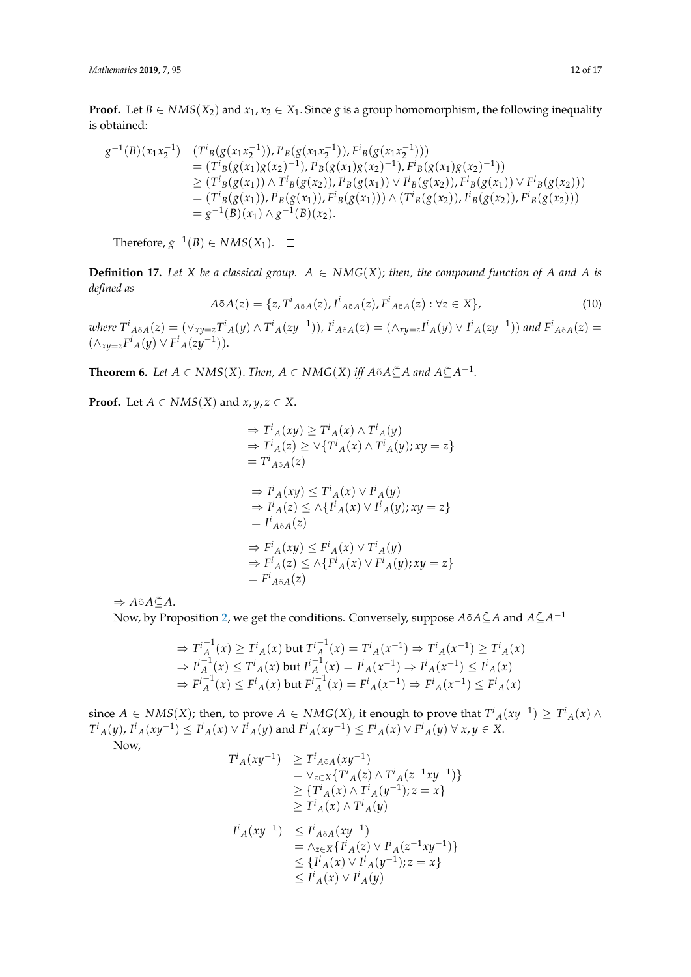**Proof.** Let  $B \in NMS(X_2)$  and  $x_1, x_2 \in X_1$ . Since *g* is a group homomorphism, the following inequality is obtained:

$$
g^{-1}(B)(x_1x_2^{-1}) \quad (T^i{}_B(g(x_1x_2^{-1})), I^i{}_B(g(x_1x_2^{-1})), F^i{}_B(g(x_1x_2^{-1})))
$$
  
\n
$$
= (T^i{}_B(g(x_1)g(x_2)^{-1}), I^i{}_B(g(x_1)g(x_2)^{-1}), F^i{}_B(g(x_1)g(x_2)^{-1}))
$$
  
\n
$$
\geq (T^i{}_B(g(x_1)) \wedge T^i{}_B(g(x_2)), I^i{}_B(g(x_1)) \vee I^i{}_B(g(x_2)), F^i{}_B(g(x_1)) \vee F^i{}_B(g(x_2)))
$$
  
\n
$$
= (T^i{}_B(g(x_1)), I^i{}_B(g(x_1)), F^i{}_B(g(x_1))) \wedge (T^i{}_B(g(x_2)), I^i{}_B(g(x_2)), F^i{}_B(g(x_2)))
$$
  
\n
$$
= g^{-1}(B)(x_1) \wedge g^{-1}(B)(x_2).
$$

Therefore,  $g^{-1}(B) \in NMS(X_1)$ .

**Definition 17.** Let *X* be a classical group.  $A \in NMG(X)$ ; then, the compound function of *A* and *A* is *defined as*

$$
A\tilde{\circ}A(z) = \{z, T^i_{A\tilde{\circ}A}(z), I^i_{A\tilde{\circ}A}(z), F^i_{A\tilde{\circ}A}(z) : \forall z \in X\},\tag{10}
$$

where  $T^i{}_{A\tilde{\circ}A}(z)=(\vee_{xy=z}T^i{}_{A}(y)\wedge T^i{}_{A}(zy^{-1})),$   $I^i{}_{A\tilde{\circ}A}(z)=(\wedge_{xy=z}I^i{}_{A}(y)\vee I^i{}_{A}(zy^{-1}))$  and  $F^i{}_{A\tilde{\circ}A}(z)=$  $(\wedge_{xy=z} F^i{}_A(y) \vee F^i{}_A(zy^{-1})).$ 

**Theorem 6.** Let  $A \in NMS(X)$ . Then,  $A \in NMG(X)$  iff  $A \tilde{\circ} A \tilde{\subseteq} A$  and  $A \tilde{\subseteq} A^{-1}$ .

**Proof.** Let  $A \in NMS(X)$  and  $x, y, z \in X$ .

$$
\Rightarrow T^{i}{}_{A}(xy) \geq T^{i}{}_{A}(x) \land T^{i}{}_{A}(y)
$$
  
\n
$$
\Rightarrow T^{i}{}_{A}(z) \geq \vee \{T^{i}{}_{A}(x) \land T^{i}{}_{A}(y); xy = z\}
$$
  
\n
$$
= T^{i}{}_{A}z_{A}(z)
$$
  
\n
$$
\Rightarrow I^{i}{}_{A}(xy) \leq T^{i}{}_{A}(x) \lor I^{i}{}_{A}(y)
$$
  
\n
$$
\Rightarrow I^{i}{}_{A}(z) \leq \wedge \{I^{i}{}_{A}(x) \lor I^{i}{}_{A}(y); xy = z\}
$$
  
\n
$$
= I^{i}{}_{A}z_{A}(z)
$$
  
\n
$$
\Rightarrow F^{i}{}_{A}(xy) \leq F^{i}{}_{A}(x) \lor T^{i}{}_{A}(y)
$$
  
\n
$$
\Rightarrow F^{i}{}_{A}(z) \leq \wedge \{F^{i}{}_{A}(x) \lor F^{i}{}_{A}(y); xy = z\}
$$
  
\n
$$
= F^{i}{}_{A}z_{A}(z)
$$

 $\Rightarrow A \tilde{\circ} A \tilde{\subseteq} A$ .

 $\Delta$ Now, by Proposition [2,](#page-4-1) we get the conditions. Conversely, suppose  $A$ õ $A$ ⊆̃ $A$  and  $A$ ⊆̃ $A^{-1}$ 

$$
\Rightarrow T_A^{i-1}(x) \ge T_A^i(x) \text{ but } T_A^{i-1}(x) = T_A^i(x) \Rightarrow T_A^i(x) \ge T_A^i(x)
$$
  
\n
$$
\Rightarrow I_A^{i-1}(x) \le T_A^i(x) \text{ but } I_A^{i-1}(x) = I_A^i(x) \Rightarrow I_A^i(x) \le I_A^i(x)
$$
  
\n
$$
\Rightarrow F_A^{i-1}(x) \le F_A^i(x) \text{ but } F_A^{i-1}(x) = F_A^i(x) \Rightarrow F_A^i(x) \le F_A^i(x)
$$

since  $A \in NMS(X)$ ; then, to prove  $A \in NMG(X)$ , it enough to prove that  $T^i{}_A(xy^{-1}) \geq T^i{}_A(x) \wedge T^i{}_B(x)$  $T^i{}_A(y)$ ,  $I^i{}_A(xy^{-1})\leq I^i{}_A(x)\vee I^i{}_A(y)$  and  $F^i{}_A(xy^{-1})\leq F^i{}_A(x)\vee F^i{}_A(y)\;\forall\; x,y\in X.$ 

Now,

$$
T^{i}{}_{A}(xy^{-1}) \geq T^{i}{}_{A\delta A}(xy^{-1})
$$
  
\n
$$
= \vee_{z\in X} \{T^{i}{}_{A}(z) \wedge T^{i}{}_{A}(z^{-1}xy^{-1})\}
$$
  
\n
$$
\geq \{T^{i}{}_{A}(x) \wedge T^{i}{}_{A}(y^{-1}); z = x\}
$$
  
\n
$$
\geq T^{i}{}_{A}(x) \wedge T^{i}{}_{A}(y)
$$
  
\n
$$
I^{i}{}_{A}(xy^{-1}) \leq I^{i}{}_{A\delta A}(xy^{-1})
$$
  
\n
$$
= \wedge_{z\in X} \{I^{i}{}_{A}(z) \vee I^{i}{}_{A}(z^{-1}xy^{-1})\}
$$
  
\n
$$
\leq \{I^{i}{}_{A}(x) \vee I^{i}{}_{A}(y^{-1}); z = x\}
$$
  
\n
$$
\leq I^{i}{}_{A}(x) \vee I^{i}{}_{A}(y)
$$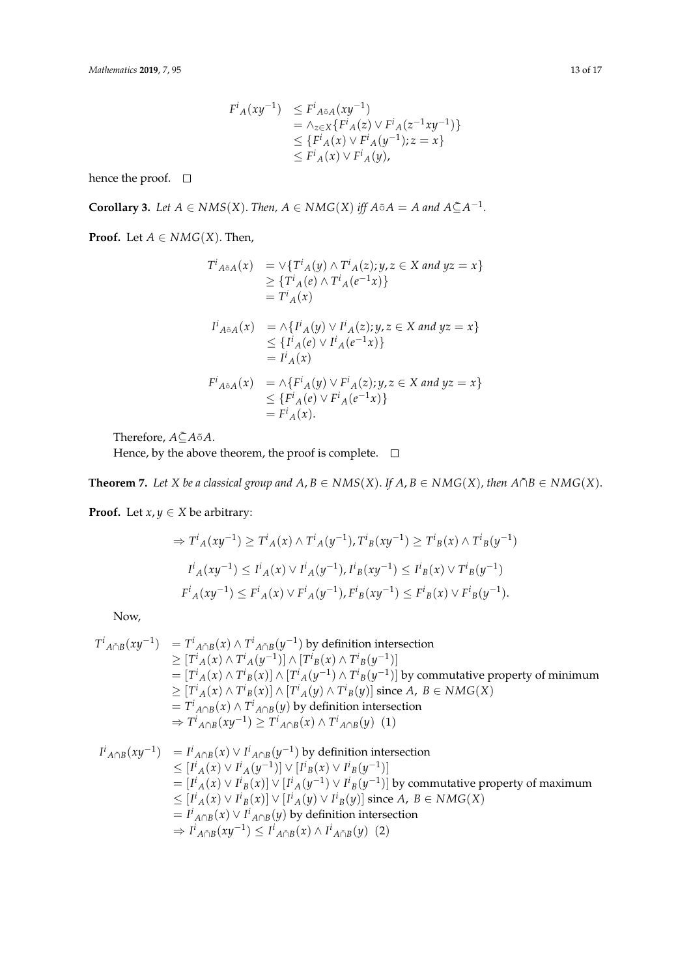$$
F^{i}{}_{A}(xy^{-1}) \leq F^{i}{}_{A\delta A}(xy^{-1})
$$
  
=  $\wedge_{z\in X}\{F^{i}{}_{A}(z) \vee F^{i}{}_{A}(z^{-1}xy^{-1})\}$   
 $\leq \{F^{i}{}_{A}(x) \vee F^{i}{}_{A}(y^{-1}); z = x\}$   
 $\leq F^{i}{}_{A}(x) \vee F^{i}{}_{A}(y),$ 

hence the proof.  $\quad \Box$ 

**Corollary 3.** Let  $A \in NMS(X)$ . Then,  $A \in NMG(X)$  iff  $A \circ A = A$  and  $A \subseteq A^{-1}$ .

**Proof.** Let  $A \in NMG(X)$ . Then,

$$
T^{i}{}_{A\tilde{\circ}A}(x) = \vee \{T^{i}{}_{A}(y) \wedge T^{i}{}_{A}(z); y, z \in X \text{ and } yz = x\}
$$
  
\n
$$
\geq \{T^{i}{}_{A}(e) \wedge T^{i}{}_{A}(e^{-1}x)\}
$$
  
\n
$$
= T^{i}{}_{A}(x)
$$
  
\n
$$
I^{i}{}_{A\tilde{\circ}A}(x) = \wedge \{I^{i}{}_{A}(y) \vee I^{i}{}_{A}(z); y, z \in X \text{ and } yz = x\}
$$
  
\n
$$
\leq \{I^{i}{}_{A}(e) \vee I^{i}{}_{A}(e^{-1}x)\}
$$
  
\n
$$
= I^{i}{}_{A}(x)
$$
  
\n
$$
F^{i}{}_{A\tilde{\circ}A}(x) = \wedge \{F^{i}{}_{A}(y) \vee F^{i}{}_{A}(z); y, z \in X \text{ and } yz = x\}
$$
  
\n
$$
\leq \{F^{i}{}_{A}(e) \vee F^{i}{}_{A}(e^{-1}x)\}
$$
  
\n
$$
= F^{i}{}_{A}(x).
$$

Therefore,  $A \xsubseteq A$   $\tilde{\circ}$  *A* $\tilde{\circ}$ 

Hence, by the above theorem, the proof is complete.  $\Box$ 

**Theorem 7.** *Let X be a classical group and*  $A, B \in NMS(X)$ *. If*  $A, B \in NMG(X)$ *, then*  $A \cap B \in NMG(X)$ *.* 

**Proof.** Let  $x, y \in X$  be arbitrary:

$$
\Rightarrow T^{i}{}_{A}(xy^{-1}) \geq T^{i}{}_{A}(x) \land T^{i}{}_{A}(y^{-1}), T^{i}{}_{B}(xy^{-1}) \geq T^{i}{}_{B}(x) \land T^{i}{}_{B}(y^{-1})
$$
  

$$
I^{i}{}_{A}(xy^{-1}) \leq I^{i}{}_{A}(x) \lor I^{i}{}_{A}(y^{-1}), I^{i}{}_{B}(xy^{-1}) \leq I^{i}{}_{B}(x) \lor T^{i}{}_{B}(y^{-1})
$$
  

$$
F^{i}{}_{A}(xy^{-1}) \leq F^{i}{}_{A}(x) \lor F^{i}{}_{A}(y^{-1}), F^{i}{}_{B}(xy^{-1}) \leq F^{i}{}_{B}(x) \lor F^{i}{}_{B}(y^{-1}).
$$

Now,

$$
T^{i}{}_{A\cap B}(xy^{-1}) = T^{i}{}_{A\cap B}(x) \wedge T^{i}{}_{A\cap B}(y^{-1}) \text{ by definition intersection}
$$
  
\n
$$
\geq [T^{i}{}_{A}(x) \wedge T^{i}{}_{A}(y^{-1})] \wedge [T^{i}{}_{B}(x) \wedge T^{i}{}_{B}(y^{-1})]
$$
  
\n
$$
= [T^{i}{}_{A}(x) \wedge T^{i}{}_{B}(x)] \wedge [T^{i}{}_{A}(y^{-1}) \wedge T^{i}{}_{B}(y^{-1})] \text{ by commutative property of minimum}
$$
  
\n
$$
\geq [T^{i}{}_{A}(x) \wedge T^{i}{}_{B}(x)] \wedge [T^{i}{}_{A}(y) \wedge T^{i}{}_{B}(y)] \text{ since } A, B \in NMG(X)
$$
  
\n
$$
= T^{i}{}_{A\cap B}(x) \wedge T^{i}{}_{A\cap B}(y) \text{ by definition intersection}
$$
  
\n
$$
\Rightarrow T^{i}{}_{A\cap B}(xy^{-1}) \geq T^{i}{}_{A\cap B}(x) \wedge T^{i}{}_{A\cap B}(y) \text{ (1)}
$$

$$
I^{i}{}_{A \cap B}(xy^{-1}) = I^{i}{}_{A \cap B}(x) \vee I^{i}{}_{A \cap B}(y^{-1})
$$
 by definition intersection  
\n
$$
\leq [I^{i}{}_{A}(x) \vee I^{i}{}_{A}(y^{-1})] \vee [I^{i}{}_{B}(x) \vee I^{i}{}_{B}(y^{-1})]
$$
\n
$$
= [I^{i}{}_{A}(x) \vee I^{i}{}_{B}(x)] \vee [I^{i}{}_{A}(y^{-1}) \vee I^{i}{}_{B}(y^{-1})]
$$
 by commutative property of maximum  
\n
$$
\leq [I^{i}{}_{A}(x) \vee I^{i}{}_{B}(x)] \vee [I^{i}{}_{A}(y) \vee I^{i}{}_{B}(y)]
$$
 since  $A, B \in NMG(X)$   
\n
$$
= I^{i}{}_{A \cap B}(x) \vee I^{i}{}_{A \cap B}(y)
$$
 by definition intersection  
\n
$$
\Rightarrow I^{i}{}_{A \cap B}(xy^{-1}) \leq I^{i}{}_{A \cap B}(x) \wedge I^{i}{}_{A \cap B}(y)
$$
 (2)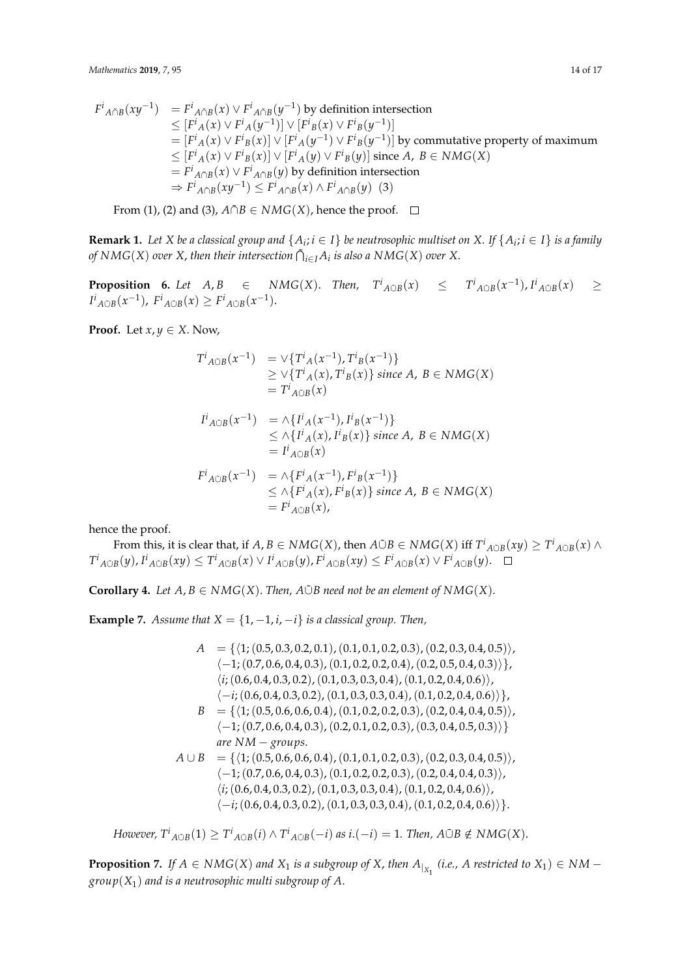$$
F^{i}{}_{A\cap B}(xy^{-1}) = F^{i}{}_{A\cap B}(x) \vee F^{i}{}_{A\cap B}(y^{-1}) \text{ by definition intersection}
$$
  
\n
$$
\leq [F^{i}{}_{A}(x) \vee F^{i}{}_{A}(y^{-1})] \vee [F^{i}{}_{B}(x) \vee F^{i}{}_{B}(y^{-1})]
$$
  
\n
$$
= [F^{i}{}_{A}(x) \vee F^{i}{}_{B}(x)] \vee [F^{i}{}_{A}(y^{-1}) \vee F^{i}{}_{B}(y^{-1})] \text{ by commutative property of maximum}
$$
  
\n
$$
\leq [F^{i}{}_{A}(x) \vee F^{i}{}_{B}(x)] \vee [F^{i}{}_{A}(y) \vee F^{i}{}_{B}(y)] \text{ since } A, B \in NMG(X)
$$
  
\n
$$
= F^{i}{}_{A\cap B}(x) \vee F^{i}{}_{A\cap B}(y) \text{ by definition intersection}
$$
  
\n
$$
\Rightarrow F^{i}{}_{A\cap B}(xy^{-1}) \leq F^{i}{}_{A\cap B}(x) \wedge F^{i}{}_{A\cap B}(y) \quad (3)
$$

From (1), (2) and (3),  $A \cap B \in NMG(X)$ , hence the proof.  $\square$ 

**Remark 1.** Let  $X$  be a classical group and  $\{A_i; i \in I\}$  be neutrosophic multiset on  $X$ . If  $\{A_i; i \in I\}$  is a family *of*  $NMG(X)$  *over*  $X$ , then their intersection  $\tilde{\bigcap}_{i\in I}A_i$  is also a  $NMG(X)$  *over*  $X$ .

**Proposition 6.** Let  $A, B \in NMG(X)$ . Then,  $T^i_{A \cup B}(x) \leq T^i_{A \cup B}(x^{-1}), I^i_{A \cup B}(x) \geq$  $I^{i}$ <sub>*A*ŪB</sub>(*x*<sup>-1</sup>),  $F^{i}$ <sub>*A*ŪB</sub>(*x*) ≥  $F^{i}$ <sub>*A*ŪB</sub>(*x*<sup>-1</sup>).

**Proof.** Let  $x, y \in X$ . Now,

$$
T^{i}{}_{A \circ B}(x^{-1}) = \vee \{ T^{i}{}_{A}(x^{-1}), T^{i}{}_{B}(x^{-1}) \}
$$
  
\n
$$
\geq \vee \{ T^{i}{}_{A}(x), T^{i}{}_{B}(x) \} \text{ since } A, B \in NMG(X)
$$
  
\n
$$
= T^{i}{}_{A \circ B}(x)
$$
  
\n
$$
I^{i}{}_{A \circ B}(x^{-1}) = \wedge \{ I^{i}{}_{A}(x^{-1}) \} I^{i}{}_{B}(x^{-1}) \}
$$

$$
ItA\text{C}B(x-1) = \wedge \{ItA(x-1), ItB(x-1)\}
$$
  
\n
$$
\leq \wedge \{IiA(x), IiB(x)\} \text{ since } A, B \in NMG(X)
$$
  
\n
$$
= IiA\text{C}B(x)
$$

$$
F^i{}_{A \circ B}(x^{-1}) = \wedge \{F^i{}_{A}(x^{-1}), F^i{}_{B}(x^{-1})\}
$$
  
\n
$$
\leq \wedge \{F^i{}_{A}(x), F^i{}_{B}(x)\} \text{ since } A, B \in NMG(X)
$$
  
\n
$$
= F^i{}_{A \circ B}(x),
$$

hence the proof.

From this, it is clear that, if  $A,B\in NMG(X)$ , then  $A\tilde{\cup}B\in NMG(X)$  iff  $T^i{}_{A\tilde{\cup}B}(xy)\geq T^i{}_{A\tilde{\cup}B}(x)\wedge T^i{}_{A\tilde{\cup}B}(x)$  $T^i{}_{A \circ B}(y)$ ,  $I^i{}_{A \circ B}(xy) \leq T^i{}_{A \circ B}(x) \vee I^i{}_{A \circ B}(y)$ ,  $F^i{}_{A \circ B}(xy) \leq F^i{}_{A \circ B}(x) \vee F^i{}_{A \circ B}(y)$ .

**Corollary 4.** *Let*  $A, B \in NMG(X)$ . *Then,*  $A\tilde{\cup}B$  *need not be an element of*  $NMG(X)$ .

**Example 7.** *Assume that*  $X = \{1, -1, i, -i\}$  *is a classical group. Then,* 

 $A = \{ \langle 1; (0.5, 0.3, 0.2, 0.1), (0.1, 0.1, 0.2, 0.3), (0.2, 0.3, 0.4, 0.5) \rangle,$  $\{-1; (0.7, 0.6, 0.4, 0.3), (0.1, 0.2, 0.2, 0.4), (0.2, 0.5, 0.4, 0.3)\},\$  $\langle i; (0.6, 0.4, 0.3, 0.2), (0.1, 0.3, 0.3, 0.4), (0.1, 0.2, 0.4, 0.6) \rangle$  $\langle -i; (0.6, 0.4, 0.3, 0.2), (0.1, 0.3, 0.3, 0.4), (0.1, 0.2, 0.4, 0.6) \rangle$  $B = \{\langle 1; (0.5, 0.6, 0.6, 0.4), (0.1, 0.2, 0.2, 0.3), (0.2, 0.4, 0.4, 0.5)\rangle,$  $\{-1; (0.7, 0.6, 0.4, 0.3), (0.2, 0.1, 0.2, 0.3), (0.3, 0.4, 0.5, 0.3)\}\}$ *are NM* − *groups*.  $A \cup B = \{ \langle 1; (0.5, 0.6, 0.6, 0.4), (0.1, 0.1, 0.2, 0.3), (0.2, 0.3, 0.4, 0.5) \rangle,$  $\langle -1; (0.7, 0.6, 0.4, 0.3), (0.1, 0.2, 0.2, 0.3), (0.2, 0.4, 0.4, 0.3)\rangle$  $\langle i; (0.6, 0.4, 0.3, 0.2), (0.1, 0.3, 0.3, 0.4), (0.1, 0.2, 0.4, 0.6) \rangle$  $\langle -i; (0.6, 0.4, 0.3, 0.2), (0.1, 0.3, 0.3, 0.4), (0.1, 0.2, 0.4, 0.6) \rangle$ .

However,  $T^i{}_{A \tilde{\cup} B}(1) \geq T^i{}_{A \tilde{\cup} B}(i) \wedge T^i{}_{A \tilde{\cup} B}(-i)$  as  $i.(-i) = 1$ . Then,  $A \tilde{\cup} B \notin NMG(X)$ .

**Proposition 7.** If  $A \in NMG(X)$  and  $X_1$  is a subgroup of  $X$ , then  $A_{|X_1}$  (i.e.,  $A$  restricted to  $X_1) \in NM$ *group*(*X*1) *and is a neutrosophic multi subgroup of A*.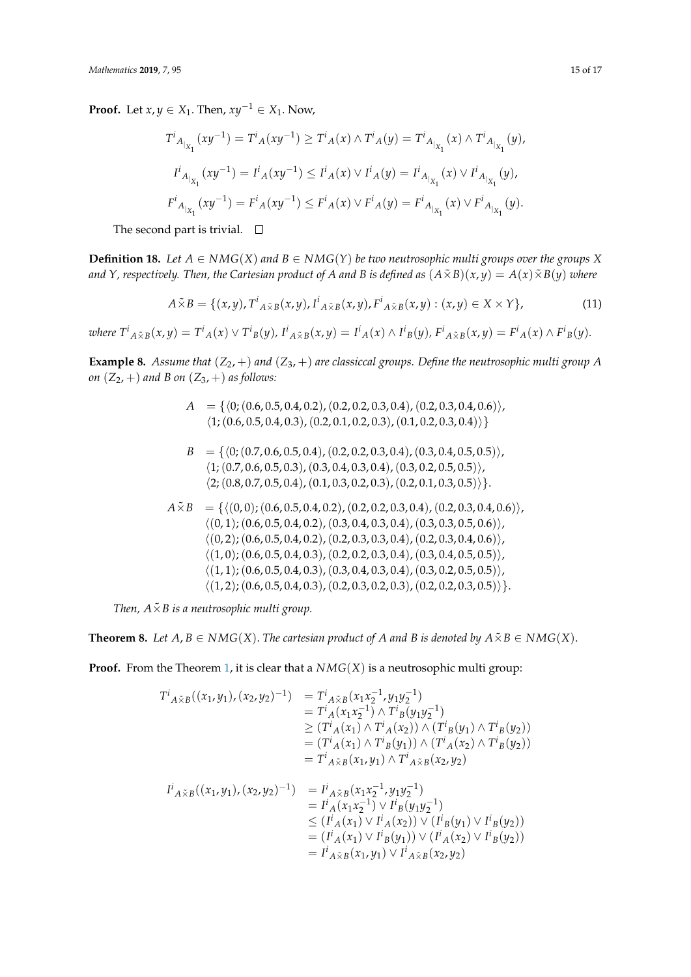**Proof.** Let *x*, *y* ∈ *X*<sub>1</sub>. Then,  $xy^{-1}$  ∈ *X*<sub>1</sub>. Now,

$$
T^{i}{}_{A_{|_{X_{1}}}}(xy^{-1}) = T^{i}{}_{A}(xy^{-1}) \geq T^{i}{}_{A}(x) \wedge T^{i}{}_{A}(y) = T^{i}{}_{A_{|_{X_{1}}}}(x) \wedge T^{i}{}_{A_{|_{X_{1}}}}(y),
$$
  

$$
I^{i}{}_{A_{|_{X_{1}}}}(xy^{-1}) = I^{i}{}_{A}(xy^{-1}) \leq I^{i}{}_{A}(x) \vee I^{i}{}_{A}(y) = I^{i}{}_{A_{|_{X_{1}}}}(x) \vee I^{i}{}_{A_{|_{X_{1}}}}(y),
$$
  

$$
F^{i}{}_{A_{|_{X_{1}}}}(xy^{-1}) = F^{i}{}_{A}(xy^{-1}) \leq F^{i}{}_{A}(x) \vee F^{i}{}_{A}(y) = F^{i}{}_{A_{|_{X_{1}}}}(x) \vee F^{i}{}_{A_{|_{X_{1}}}}(y).
$$

The second part is trivial.  $\square$ 

**Definition 18.** Let  $A \in NMG(X)$  and  $B \in NMG(Y)$  be two neutrosophic multi groups over the groups X *and Y, respectively. Then, the Cartesian product of A and B is defined as*  $(A \tilde{\times} B)(x, y) = A(x) \tilde{\times} B(y)$  where

$$
A\tilde{\times}B = \{(x,y), T^i_{A\tilde{\times}B}(x,y), I^i_{A\tilde{\times}B}(x,y), F^i_{A\tilde{\times}B}(x,y) : (x,y) \in X \times Y\},\tag{11}
$$

where  $T^i{}_{A \tilde{\times} B}(x,y) = T^i{}_{A}(x) \vee T^i{}_{B}(y)$ ,  $I^i{}_{A \tilde{\times} B}(x,y) = I^i{}_{A}(x) \wedge I^i{}_{B}(y)$ ,  $F^i{}_{A \tilde{\times} B}(x,y) = F^i{}_{A}(x) \wedge F^i{}_{B}(y)$ .

**Example 8.** Assume that  $(Z_2, +)$  and  $(Z_3, +)$  are classiccal groups. Define the neutrosophic multi group A *on*  $(Z_2, +)$  *and B on*  $(Z_3, +)$  *as follows:* 

- $A = \{ (0, (0.6, 0.5, 0.4, 0.2), (0.2, 0.2, 0.3, 0.4), (0.2, 0.3, 0.4, 0.6) \},\$  $\langle 1; (0.6, 0.5, 0.4, 0.3), (0.2, 0.1, 0.2, 0.3), (0.1, 0.2, 0.3, 0.4) \rangle$
- $B = \{ (0; (0.7, 0.6, 0.5, 0.4), (0.2, 0.2, 0.3, 0.4), (0.3, 0.4, 0.5, 0.5) \},\}$  $\langle 1; (0.7, 0.6, 0.5, 0.3), (0.3, 0.4, 0.3, 0.4), (0.3, 0.2, 0.5, 0.5) \rangle$  $\langle 2; (0.8, 0.7, 0.5, 0.4), (0.1, 0.3, 0.2, 0.3), (0.2, 0.1, 0.3, 0.5) \rangle$ .
- $A\tilde{X}B = \{((0, 0);(0.6, 0.5, 0.4, 0.2), (0.2, 0.2, 0.3, 0.4), (0.2, 0.3, 0.4, 0.6)\},\$  $\langle (0, 1);(0.6, 0.5, 0.4, 0.2), (0.3, 0.4, 0.3, 0.4), (0.3, 0.3, 0.5, 0.6) \rangle$  $\langle (0, 2);(0.6, 0.5, 0.4, 0.2), (0.2, 0.3, 0.3, 0.4), (0.2, 0.3, 0.4, 0.6)\rangle$  $\langle (1, 0);(0.6, 0.5, 0.4, 0.3), (0.2, 0.2, 0.3, 0.4), (0.3, 0.4, 0.5, 0.5)\rangle,$  $\langle (1, 1); (0.6, 0.5, 0.4, 0.3), (0.3, 0.4, 0.3, 0.4), (0.3, 0.2, 0.5, 0.5) \rangle$  $\{(1, 2), (0.6, 0.5, 0.4, 0.3), (0.2, 0.3, 0.2, 0.3), (0.2, 0.2, 0.3, 0.5)\}.$

*Then,*  $A \times B$  *is a neutrosophic multi group.* 

**Theorem 8.** Let  $A, B \in NMG(X)$ . The cartesian product of A and B is denoted by  $A \tilde{\times} B \in NMG(X)$ .

**Proof.** From the Theorem [1,](#page-5-0) it is clear that a  $NMG(X)$  is a neutrosophic multi group:

$$
T^{i}{}_{A \tilde{\times} B}((x_{1}, y_{1}), (x_{2}, y_{2})^{-1}) = T^{i}{}_{A \tilde{\times} B}(x_{1}x_{2}^{-1}, y_{1}y_{2}^{-1})
$$
  
\n
$$
= T^{i}{}_{A}(x_{1}x_{2}^{-1}) \wedge T^{i}{}_{B}(y_{1}y_{2}^{-1})
$$
  
\n
$$
\geq (T^{i}{}_{A}(x_{1}) \wedge T^{i}{}_{A}(x_{2})) \wedge (T^{i}{}_{B}(y_{1}) \wedge T^{i}{}_{B}(y_{2}))
$$
  
\n
$$
= (T^{i}{}_{A}(x_{1}) \wedge T^{i}{}_{B}(y_{1})) \wedge (T^{i}{}_{A}(x_{2}) \wedge T^{i}{}_{B}(y_{2}))
$$
  
\n
$$
= T^{i}{}_{A \tilde{\times} B}(x_{1}, y_{1}) \wedge T^{i}{}_{A \tilde{\times} B}(x_{2}, y_{2})
$$
  
\n
$$
I^{i}{}_{A \tilde{\times} B}((x_{1}, y_{1}), (x_{2}, y_{2})^{-1}) = I^{i}{}_{A \tilde{\times} B}(x_{1}x_{2}^{-1}, y_{1}y_{2}^{-1})
$$
  
\n
$$
= I^{i}{}_{A}(x_{1}x_{2}^{-1}) \vee I^{i}{}_{B}(y_{1}y_{2}^{-1})
$$
  
\n
$$
\leq (I^{i}{}_{A}(x_{1}) \vee I^{i}{}_{B}(y_{1})) \vee (I^{i}{}_{B}(y_{1}) \vee I^{i}{}_{B}(y_{2}))
$$
  
\n
$$
= (I^{i}{}_{A}(x_{1}) \vee I^{i}{}_{B}(y_{1})) \vee (I^{i}{}_{A}(x_{2}) \vee I^{i}{}_{B}(y_{2}))
$$
  
\n
$$
= I^{i}{}_{A \tilde{\times} B}(x_{1}, y_{1}) \vee I^{i}{}_{A \tilde{\times} B}(x_{2}, y_{2})
$$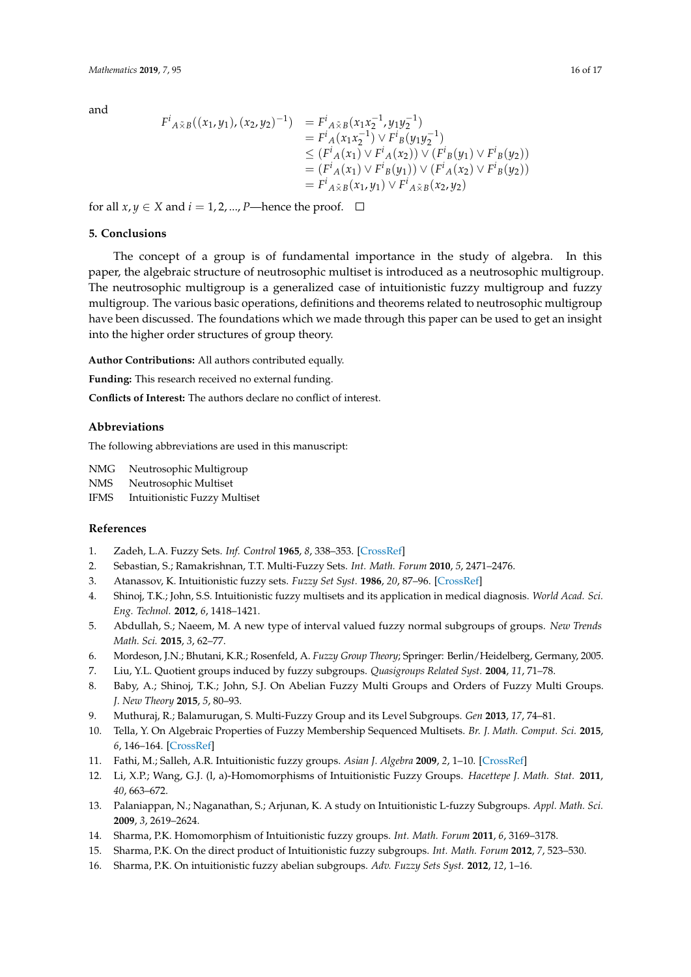and

$$
F^{i}{}_{A \tilde{\times} B}((x_1, y_1), (x_2, y_2)^{-1}) = F^{i}{}_{A \tilde{\times} B}(x_1 x_2^{-1}, y_1 y_2^{-1})
$$
  
\n
$$
= F^{i}{}_{A}(x_1 x_2^{-1}) \vee F^{i}{}_{B}(y_1 y_2^{-1})
$$
  
\n
$$
\leq (F^{i}{}_{A}(x_1) \vee F^{i}{}_{A}(x_2)) \vee (F^{i}{}_{B}(y_1) \vee F^{i}{}_{B}(y_2))
$$
  
\n
$$
= (F^{i}{}_{A}(x_1) \vee F^{i}{}_{B}(y_1)) \vee (F^{i}{}_{A}(x_2) \vee F^{i}{}_{B}(y_2))
$$
  
\n
$$
= F^{i}{}_{A \tilde{\times} B}(x_1, y_1) \vee F^{i}{}_{A \tilde{\times} B}(x_2, y_2)
$$

for all  $x, y \in X$  and  $i = 1, 2, ..., P$ —hence the proof.  $\Box$ 

### <span id="page-15-10"></span>**5. Conclusions**

The concept of a group is of fundamental importance in the study of algebra. In this paper, the algebraic structure of neutrosophic multiset is introduced as a neutrosophic multigroup. The neutrosophic multigroup is a generalized case of intuitionistic fuzzy multigroup and fuzzy multigroup. The various basic operations, definitions and theorems related to neutrosophic multigroup have been discussed. The foundations which we made through this paper can be used to get an insight into the higher order structures of group theory.

**Author Contributions:** All authors contributed equally.

**Funding:** This research received no external funding.

**Conflicts of Interest:** The authors declare no conflict of interest.

# **Abbreviations**

The following abbreviations are used in this manuscript:

NMG Neutrosophic Multigroup

NMS Neutrosophic Multiset

IFMS Intuitionistic Fuzzy Multiset

## **References**

- <span id="page-15-0"></span>1. Zadeh, L.A. Fuzzy Sets. *Inf. Control* **1965**, *8*, 338–353. [\[CrossRef\]](http://dx.doi.org/10.1016/S0019-9958(65)90241-X)
- <span id="page-15-1"></span>2. Sebastian, S.; Ramakrishnan, T.T. Multi-Fuzzy Sets. *Int. Math. Forum* **2010**, *5*, 2471–2476.
- <span id="page-15-2"></span>3. Atanassov, K. Intuitionistic fuzzy sets. *Fuzzy Set Syst.* **1986**, *20*, 87–96. [\[CrossRef\]](http://dx.doi.org/10.1016/S0165-0114(86)80034-3)
- <span id="page-15-3"></span>4. Shinoj, T.K.; John, S.S. Intuitionistic fuzzy multisets and its application in medical diagnosis. *World Acad. Sci. Eng. Technol.* **2012**, *6*, 1418–1421.
- <span id="page-15-4"></span>5. Abdullah, S.; Naeem, M. A new type of interval valued fuzzy normal subgroups of groups. *New Trends Math. Sci.* **2015**, *3*, 62–77.
- <span id="page-15-9"></span>6. Mordeson, J.N.; Bhutani, K.R.; Rosenfeld, A. *Fuzzy Group Theory*; Springer: Berlin/Heidelberg, Germany, 2005.
- <span id="page-15-5"></span>7. Liu, Y.L. Quotient groups induced by fuzzy subgroups. *Quasigroups Related Syst.* **2004**, *11*, 71–78.
- <span id="page-15-6"></span>8. Baby, A.; Shinoj, T.K.; John, S.J. On Abelian Fuzzy Multi Groups and Orders of Fuzzy Multi Groups. *J. New Theory* **2015**, *5*, 80–93.
- 9. Muthuraj, R.; Balamurugan, S. Multi-Fuzzy Group and its Level Subgroups. *Gen* **2013**, *17*, 74–81.
- <span id="page-15-7"></span>10. Tella, Y. On Algebraic Properties of Fuzzy Membership Sequenced Multisets. *Br. J. Math. Comput. Sci.* **2015**, *6*, 146–164. [\[CrossRef\]](http://dx.doi.org/10.9734/BJMCS/2015/15067)
- <span id="page-15-8"></span>11. Fathi, M.; Salleh, A.R. Intuitionistic fuzzy groups. *Asian J. Algebra* **2009**, *2*, 1–10. [\[CrossRef\]](http://dx.doi.org/10.3923/aja.2009.1.10)
- 12. Li, X.P.; Wang, G.J. (l, a)-Homomorphisms of Intuitionistic Fuzzy Groups. *Hacettepe J. Math. Stat.* **2011**, *40*, 663–672.
- 13. Palaniappan, N.; Naganathan, S.; Arjunan, K. A study on Intuitionistic L-fuzzy Subgroups. *Appl. Math. Sci.* **2009**, *3*, 2619–2624.
- 14. Sharma, P.K. Homomorphism of Intuitionistic fuzzy groups. *Int. Math. Forum* **2011**, *6*, 3169–3178.
- 15. Sharma, P.K. On the direct product of Intuitionistic fuzzy subgroups. *Int. Math. Forum* **2012**, *7*, 523–530.
- 16. Sharma, P.K. On intuitionistic fuzzy abelian subgroups. *Adv. Fuzzy Sets Syst.* **2012**, *12*, 1–16.